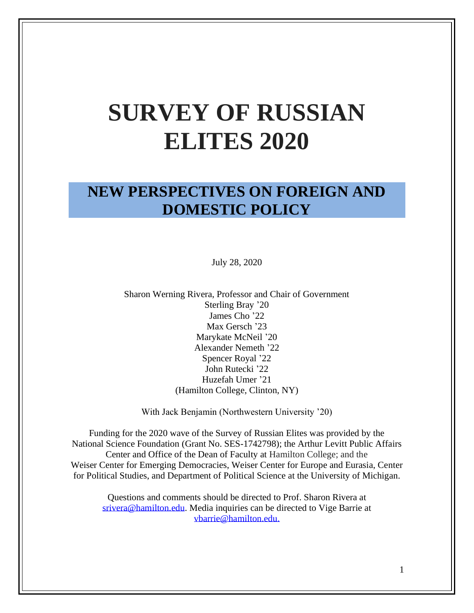# **SURVEY OF RUSSIAN ELITES 2020**

# **NEW PERSPECTIVES ON FOREIGN AND DOMESTIC POLICY**

July 28, 2020

Sharon Werning Rivera, Professor and Chair of Government Sterling Bray '20 James Cho '22 Max Gersch '23 Marykate McNeil '20 Alexander Nemeth '22 Spencer Royal '22 John Rutecki '22 Huzefah Umer '21 (Hamilton College, Clinton, NY)

With Jack Benjamin (Northwestern University '20)

Funding for the 2020 wave of the Survey of Russian Elites was provided by the National Science Foundation (Grant No. SES-1742798); the Arthur Levitt Public Affairs Center and Office of the Dean of Faculty at Hamilton College; and the Weiser Center for Emerging Democracies, Weiser Center for Europe and Eurasia, Center for Political Studies, and Department of Political Science at the University of Michigan.

Questions and comments should be directed to Prof. Sharon Rivera at [srivera@hamilton.edu.](mailto:srivera@hamilton.edu) Media inquiries can be directed to Vige Barrie at [vbarrie@hamilton.edu.](mailto:vbarrie@hamilton.edu)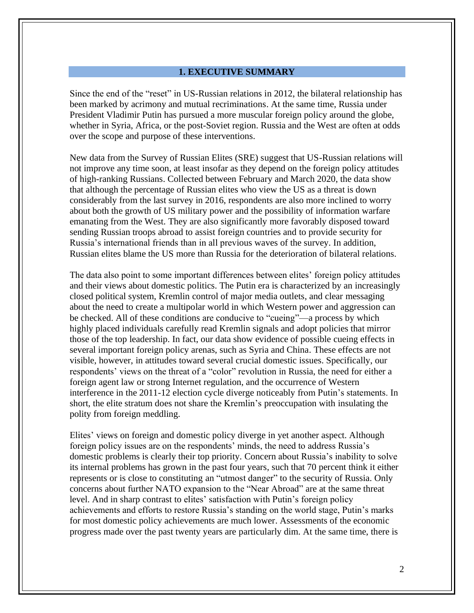#### **1. EXECUTIVE SUMMARY**

Since the end of the "reset" in US-Russian relations in 2012, the bilateral relationship has been marked by acrimony and mutual recriminations. At the same time, Russia under President Vladimir Putin has pursued a more muscular foreign policy around the globe, whether in Syria, Africa, or the post-Soviet region. Russia and the West are often at odds over the scope and purpose of these interventions.

New data from the Survey of Russian Elites (SRE) suggest that US-Russian relations will not improve any time soon, at least insofar as they depend on the foreign policy attitudes of high-ranking Russians. Collected between February and March 2020, the data show that although the percentage of Russian elites who view the US as a threat is down considerably from the last survey in 2016, respondents are also more inclined to worry about both the growth of US military power and the possibility of information warfare emanating from the West. They are also significantly more favorably disposed toward sending Russian troops abroad to assist foreign countries and to provide security for Russia's international friends than in all previous waves of the survey. In addition, Russian elites blame the US more than Russia for the deterioration of bilateral relations.

The data also point to some important differences between elites' foreign policy attitudes and their views about domestic politics. The Putin era is characterized by an increasingly closed political system, Kremlin control of major media outlets, and clear messaging about the need to create a multipolar world in which Western power and aggression can be checked. All of these conditions are conducive to "cueing"—a process by which highly placed individuals carefully read Kremlin signals and adopt policies that mirror those of the top leadership. In fact, our data show evidence of possible cueing effects in several important foreign policy arenas, such as Syria and China. These effects are not visible, however, in attitudes toward several crucial domestic issues. Specifically, our respondents' views on the threat of a "color" revolution in Russia, the need for either a foreign agent law or strong Internet regulation, and the occurrence of Western interference in the 2011-12 election cycle diverge noticeably from Putin's statements. In short, the elite stratum does not share the Kremlin's preoccupation with insulating the polity from foreign meddling.

Elites' views on foreign and domestic policy diverge in yet another aspect. Although foreign policy issues are on the respondents' minds, the need to address Russia's domestic problems is clearly their top priority. Concern about Russia's inability to solve its internal problems has grown in the past four years, such that 70 percent think it either represents or is close to constituting an "utmost danger" to the security of Russia. Only concerns about further NATO expansion to the "Near Abroad" are at the same threat level. And in sharp contrast to elites' satisfaction with Putin's foreign policy achievements and efforts to restore Russia's standing on the world stage, Putin's marks for most domestic policy achievements are much lower. Assessments of the economic progress made over the past twenty years are particularly dim. At the same time, there is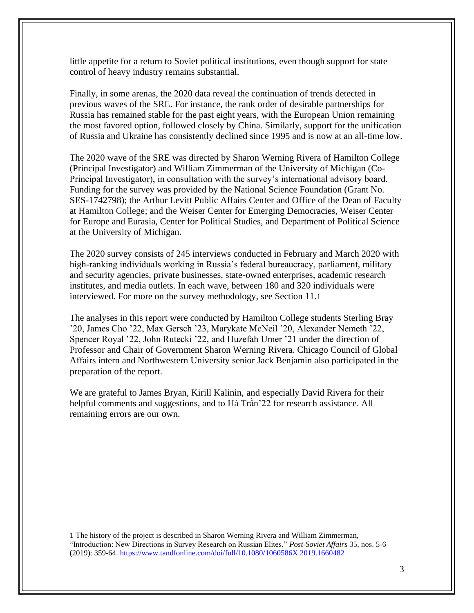little appetite for a return to Soviet political institutions, even though support for state control of heavy industry remains substantial.

Finally, in some arenas, the 2020 data reveal the continuation of trends detected in previous waves of the SRE. For instance, the rank order of desirable partnerships for Russia has remained stable for the past eight years, with the European Union remaining the most favored option, followed closely by China. Similarly, support for the unification of Russia and Ukraine has consistently declined since 1995 and is now at an all-time low.

The 2020 wave of the SRE was directed by Sharon Werning Rivera of Hamilton College (Principal Investigator) and William Zimmerman of the University of Michigan (Co-Principal Investigator), in consultation with the survey's international advisory board. Funding for the survey was provided by the National Science Foundation (Grant No. SES-1742798); the Arthur Levitt Public Affairs Center and Office of the Dean of Faculty at Hamilton College; and the Weiser Center for Emerging Democracies, Weiser Center for Europe and Eurasia, Center for Political Studies, and Department of Political Science at the University of Michigan.

The 2020 survey consists of 245 interviews conducted in February and March 2020 with high-ranking individuals working in Russia's federal bureaucracy, parliament, military and security agencies, private businesses, state-owned enterprises, academic research institutes, and media outlets. In each wave, between 180 and 320 individuals were interviewed. For more on the survey methodology, see Section 11.1

The analyses in this report were conducted by Hamilton College students Sterling Bray '20, James Cho '22, Max Gersch '23, Marykate McNeil '20, Alexander Nemeth '22, Spencer Royal '22, John Rutecki '22, and Huzefah Umer '21 under the direction of Professor and Chair of Government Sharon Werning Rivera. Chicago Council of Global Affairs intern and Northwestern University senior Jack Benjamin also participated in the preparation of the report.

We are grateful to James Bryan, Kirill Kalinin, and especially David Rivera for their helpful comments and suggestions, and to Hà Trần'22 for research assistance. All remaining errors are our own.

1 The history of the project is described in Sharon Werning Rivera and William Zimmerman, "Introduction: New Directions in Survey Research on Russian Elites," *Post-Soviet Affairs* 35, nos. 5-6 (2019): 359-64.<https://www.tandfonline.com/doi/full/10.1080/1060586X.2019.1660482>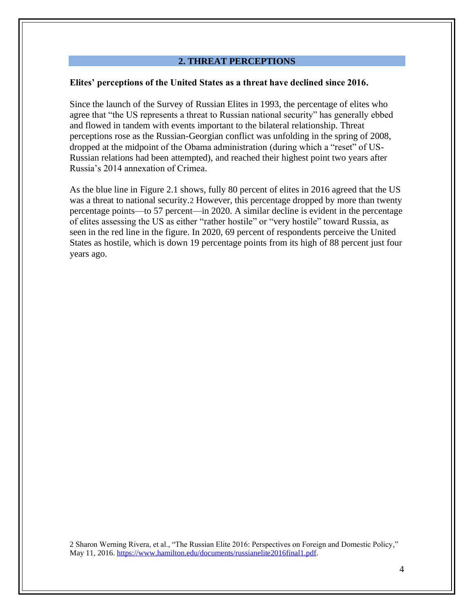#### **2. THREAT PERCEPTIONS**

#### **Elites' perceptions of the United States as a threat have declined since 2016.**

Since the launch of the Survey of Russian Elites in 1993, the percentage of elites who agree that "the US represents a threat to Russian national security" has generally ebbed and flowed in tandem with events important to the bilateral relationship. Threat perceptions rose as the Russian-Georgian conflict was unfolding in the spring of 2008, dropped at the midpoint of the Obama administration (during which a "reset" of US-Russian relations had been attempted), and reached their highest point two years after Russia's 2014 annexation of Crimea.

As the blue line in Figure 2.1 shows, fully 80 percent of elites in 2016 agreed that the US was a threat to national security.2 However, this percentage dropped by more than twenty percentage points—to 57 percent—in 2020. A similar decline is evident in the percentage of elites assessing the US as either "rather hostile" or "very hostile" toward Russia, as seen in the red line in the figure. In 2020, 69 percent of respondents perceive the United States as hostile, which is down 19 percentage points from its high of 88 percent just four years ago.

2 Sharon Werning Rivera, et al., "The Russian Elite 2016: Perspectives on Foreign and Domestic Policy*,*" May 11, 2016. [https://www.hamilton.edu/documents/russianelite2016final1.pdf.](https://www.hamilton.edu/documents/russianelite2016final1.pdf)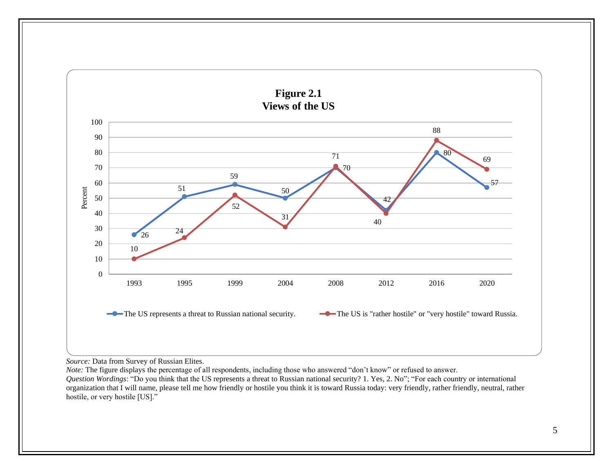

*Source:* Data from Survey of Russian Elites.

*Note:* The figure displays the percentage of all respondents, including those who answered "don't know" or refused to answer.

*Question Wordings*: "Do you think that the US represents a threat to Russian national security? 1. Yes, 2. No"; "For each country or international organization that I will name, please tell me how friendly or hostile you think it is toward Russia today: very friendly, rather friendly, neutral, rather hostile, or very hostile [US]."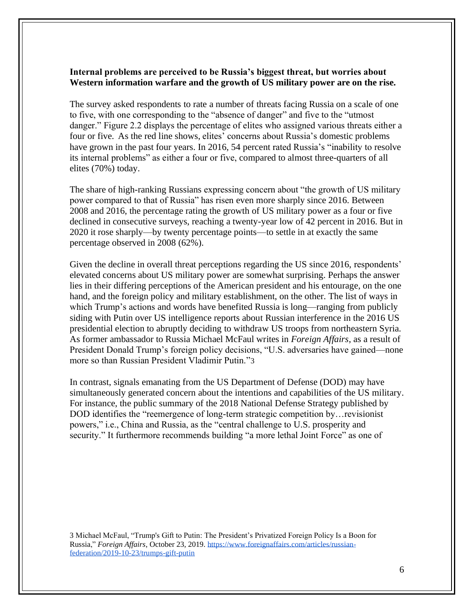# **Internal problems are perceived to be Russia's biggest threat, but worries about Western information warfare and the growth of US military power are on the rise.**

The survey asked respondents to rate a number of threats facing Russia on a scale of one to five, with one corresponding to the "absence of danger" and five to the "utmost danger." Figure 2.2 displays the percentage of elites who assigned various threats either a four or five. As the red line shows, elites' concerns about Russia's domestic problems have grown in the past four years. In 2016, 54 percent rated Russia's "inability to resolve its internal problems" as either a four or five, compared to almost three-quarters of all elites (70%) today.

The share of high-ranking Russians expressing concern about "the growth of US military power compared to that of Russia" has risen even more sharply since 2016. Between 2008 and 2016, the percentage rating the growth of US military power as a four or five declined in consecutive surveys, reaching a twenty-year low of 42 percent in 2016. But in 2020 it rose sharply—by twenty percentage points—to settle in at exactly the same percentage observed in 2008 (62%).

Given the decline in overall threat perceptions regarding the US since 2016, respondents' elevated concerns about US military power are somewhat surprising. Perhaps the answer lies in their differing perceptions of the American president and his entourage, on the one hand, and the foreign policy and military establishment, on the other. The list of ways in which Trump's actions and words have benefited Russia is long—ranging from publicly siding with Putin over US intelligence reports about Russian interference in the 2016 US presidential election to abruptly deciding to withdraw US troops from northeastern Syria. As former ambassador to Russia Michael McFaul writes in *Foreign Affairs*, as a result of President Donald Trump's foreign policy decisions, "U.S. adversaries have gained—none more so than Russian President Vladimir Putin."3

In contrast, signals emanating from the US Department of Defense (DOD) may have simultaneously generated concern about the intentions and capabilities of the US military. For instance, the public summary of the 2018 National Defense Strategy published by DOD identifies the "reemergence of long-term strategic competition by…revisionist powers," i.e., China and Russia, as the "central challenge to U.S. prosperity and security." It furthermore recommends building "a more lethal Joint Force" as one of

3 Michael McFaul, "Trump's Gift to Putin: The President's Privatized Foreign Policy Is a Boon for Russia," *Foreign Affairs*, October 23, 2019. [https://www.foreignaffairs.com/articles/russian](https://www.foreignaffairs.com/articles/russian-federation/2019-10-23/trumps-gift-putin)[federation/2019-10-23/trumps-gift-putin](https://www.foreignaffairs.com/articles/russian-federation/2019-10-23/trumps-gift-putin)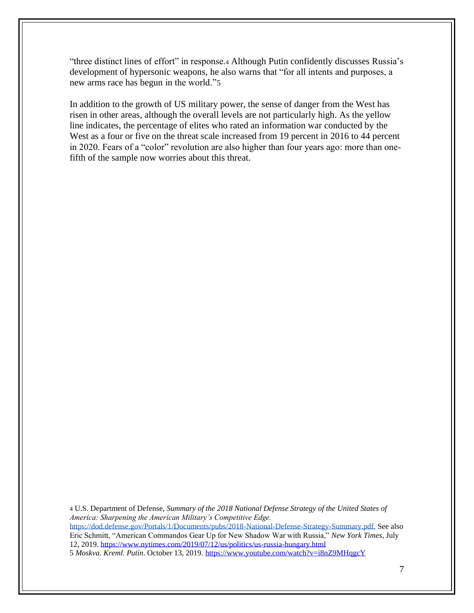"three distinct lines of effort" in response.<sup>4</sup> Although Putin confidently discusses Russia's development of hypersonic weapons, he also warns that "for all intents and purposes, a new arms race has begun in the world."5

In addition to the growth of US military power, the sense of danger from the West has risen in other areas, although the overall levels are not particularly high. As the yellow line indicates, the percentage of elites who rated an information war conducted by the West as a four or five on the threat scale increased from 19 percent in 2016 to 44 percent in 2020. Fears of a "color" revolution are also higher than four years ago: more than onefifth of the sample now worries about this threat.

4 U.S. Department of Defense, *Summary of the 2018 National Defense Strategy of the United States of America: Sharpening the American Military's Competitive Edge.* [https://dod.defense.gov/Portals/1/Documents/pubs/2018-National-Defense-Strategy-Summary.pdf.](https://dod.defense.gov/Portals/1/Documents/pubs/2018-National-Defense-Strategy-Summary.pdf) See also Eric Schmitt, "American Commandos Gear Up for New Shadow War with Russia," *New York Times*, July 12, 2019.<https://www.nytimes.com/2019/07/12/us/politics/us-russia-hungary.html> 5 *Moskva. Kreml. Putin*. October 13, 2019. <https://www.youtube.com/watch?v=i8nZ9MHqgcY>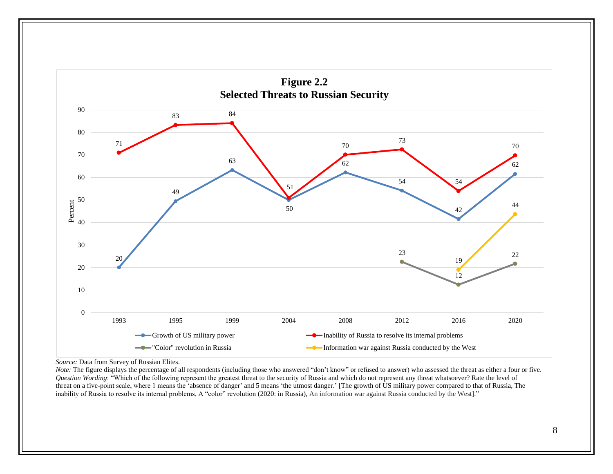

*Source:* Data from Survey of Russian Elites.

*Note:* The figure displays the percentage of all respondents (including those who answered "don't know" or refused to answer) who assessed the threat as either a four or five. *Question Wording*: "Which of the following represent the greatest threat to the security of Russia and which do not represent any threat whatsoever? Rate the level of threat on a five-point scale, where 1 means the 'absence of danger' and 5 means 'the utmost danger.' [The growth of US military power compared to that of Russia, The inability of Russia to resolve its internal problems, A "color" revolution (2020: in Russia), An information war against Russia conducted by the West]."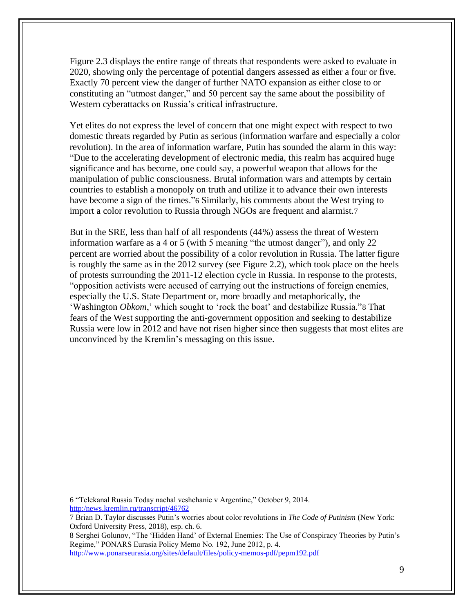Figure 2.3 displays the entire range of threats that respondents were asked to evaluate in 2020, showing only the percentage of potential dangers assessed as either a four or five. Exactly 70 percent view the danger of further NATO expansion as either close to or constituting an "utmost danger," and 50 percent say the same about the possibility of Western cyberattacks on Russia's critical infrastructure.

Yet elites do not express the level of concern that one might expect with respect to two domestic threats regarded by Putin as serious (information warfare and especially a color revolution). In the area of information warfare, Putin has sounded the alarm in this way: "Due to the accelerating development of electronic media, this realm has acquired huge significance and has become, one could say, a powerful weapon that allows for the manipulation of public consciousness. Brutal information wars and attempts by certain countries to establish a monopoly on truth and utilize it to advance their own interests have become a sign of the times."6 Similarly, his comments about the West trying to import a color revolution to Russia through NGOs are frequent and alarmist.7

But in the SRE, less than half of all respondents (44%) assess the threat of Western information warfare as a 4 or 5 (with 5 meaning "the utmost danger"), and only 22 percent are worried about the possibility of a color revolution in Russia. The latter figure is roughly the same as in the 2012 survey (see Figure 2.2), which took place on the heels of protests surrounding the 2011-12 election cycle in Russia. In response to the protests, "opposition activists were accused of carrying out the instructions of foreign enemies, especially the U.S. State Department or, more broadly and metaphorically, the 'Washington *Obkom*,' which sought to 'rock the boat' and destabilize Russia."8 That fears of the West supporting the anti-government opposition and seeking to destabilize Russia were low in 2012 and have not risen higher since then suggests that most elites are unconvinced by the Kremlin's messaging on this issue.

6 "Telekanal Russia Today nachal veshchanie v Argentine," October 9, 2014. [http:/news.kremlin.ru/transcript/46762](http://kremlin.ru/events/president/news/46762)

7 Brian D. Taylor discusses Putin's worries about color revolutions in *The Code of Putinism* (New York: Oxford University Press, 2018), esp. ch. 6.

8 Serghei Golunov, "The 'Hidden Hand' of External Enemies: The Use of Conspiracy Theories by Putin's Regime," PONARS Eurasia Policy Memo No. 192, June 2012, p. 4. <http://www.ponarseurasia.org/sites/default/files/policy-memos-pdf/pepm192.pdf>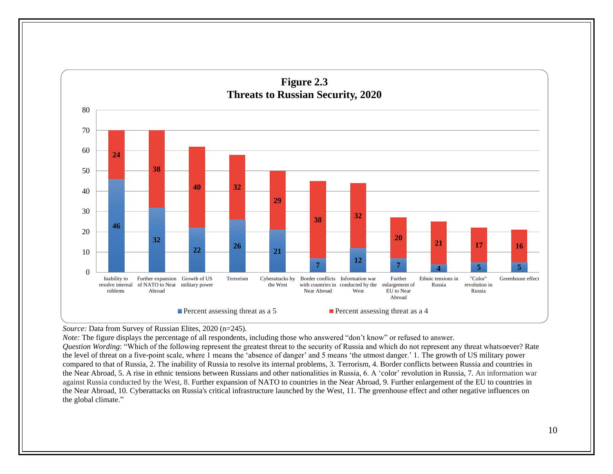

#### *Source:* Data from Survey of Russian Elites, 2020 (n=245).

*Note:* The figure displays the percentage of all respondents, including those who answered "don't know" or refused to answer.

*Question Wording*: "Which of the following represent the greatest threat to the security of Russia and which do not represent any threat whatsoever? Rate the level of threat on a five-point scale, where 1 means the 'absence of danger' and 5 means 'the utmost danger.' 1. The growth of US military power compared to that of Russia, 2. The inability of Russia to resolve its internal problems, 3. Terrorism, 4. Border conflicts between Russia and countries in the Near Abroad, 5. A rise in ethnic tensions between Russians and other nationalities in Russia, 6. A 'color' revolution in Russia, 7. An information war against Russia conducted by the West, 8. Further expansion of NATO to countries in the Near Abroad, 9. Further enlargement of the EU to countries in the Near Abroad, 10. Cyberattacks on Russia's critical infrastructure launched by the West, 11. The greenhouse effect and other negative influences on the global climate."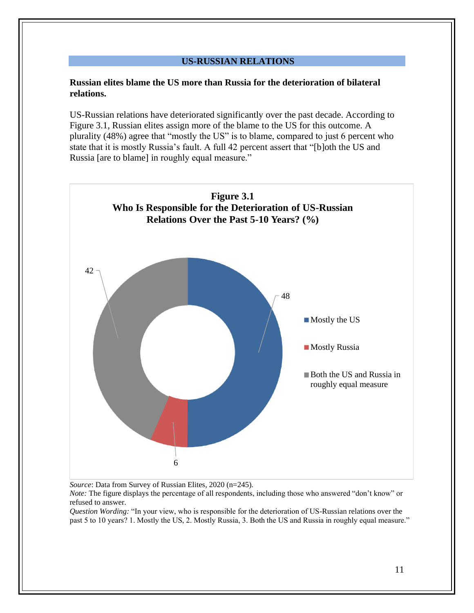#### **US-RUSSIAN RELATIONS**

# **Russian elites blame the US more than Russia for the deterioration of bilateral relations.**

US-Russian relations have deteriorated significantly over the past decade. According to Figure 3.1, Russian elites assign more of the blame to the US for this outcome. A plurality (48%) agree that "mostly the US" is to blame, compared to just 6 percent who state that it is mostly Russia's fault. A full 42 percent assert that "[b]oth the US and Russia [are to blame] in roughly equal measure."



*Source*: Data from Survey of Russian Elites, 2020 (n=245).

*Note:* The figure displays the percentage of all respondents, including those who answered "don't know" or refused to answer.

*Question Wording:* "In your view, who is responsible for the deterioration of US-Russian relations over the past 5 to 10 years? 1. Mostly the US, 2. Mostly Russia, 3. Both the US and Russia in roughly equal measure."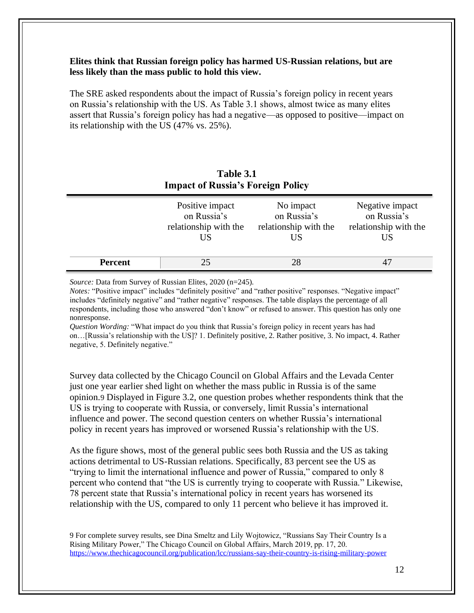# **Elites think that Russian foreign policy has harmed US-Russian relations, but are less likely than the mass public to hold this view.**

The SRE asked respondents about the impact of Russia's foreign policy in recent years on Russia's relationship with the US. As Table 3.1 shows, almost twice as many elites assert that Russia's foreign policy has had a negative—as opposed to positive—impact on its relationship with the US (47% vs. 25%).

| <b>Impact of Russia's Foreign Policy</b> |                                                               |                                                         |                                                               |  |
|------------------------------------------|---------------------------------------------------------------|---------------------------------------------------------|---------------------------------------------------------------|--|
|                                          | Positive impact<br>on Russia's<br>relationship with the<br>US | No impact<br>on Russia's<br>relationship with the<br>US | Negative impact<br>on Russia's<br>relationship with the<br>US |  |
| <b>Percent</b>                           | 25                                                            | 28                                                      |                                                               |  |

# **Table 3.1**

*Source:* Data from Survey of Russian Elites, 2020 (n=245).

*Notes:* "Positive impact" includes "definitely positive" and "rather positive" responses. "Negative impact" includes "definitely negative" and "rather negative" responses. The table displays the percentage of all respondents, including those who answered "don't know" or refused to answer. This question has only one nonresponse.

*Question Wording:* "What impact do you think that Russia's foreign policy in recent years has had on…[Russia's relationship with the US]? 1. Definitely positive, 2. Rather positive, 3. No impact, 4. Rather negative, 5. Definitely negative."

Survey data collected by the Chicago Council on Global Affairs and the Levada Center just one year earlier shed light on whether the mass public in Russia is of the same opinion.9 Displayed in Figure 3.2, one question probes whether respondents think that the US is trying to cooperate with Russia, or conversely, limit Russia's international influence and power. The second question centers on whether Russia's international policy in recent years has improved or worsened Russia's relationship with the US.

As the figure shows, most of the general public sees both Russia and the US as taking actions detrimental to US-Russian relations. Specifically, 83 percent see the US as "trying to limit the international influence and power of Russia," compared to only 8 percent who contend that "the US is currently trying to cooperate with Russia." Likewise, 78 percent state that Russia's international policy in recent years has worsened its relationship with the US, compared to only 11 percent who believe it has improved it.

9 For complete survey results, see Dina Smeltz and Lily Wojtowicz, "Russians Say Their Country Is a Rising Military Power," The Chicago Council on Global Affairs, March 2019, pp. 17, 20. <https://www.thechicagocouncil.org/publication/lcc/russians-say-their-country-is-rising-military-power>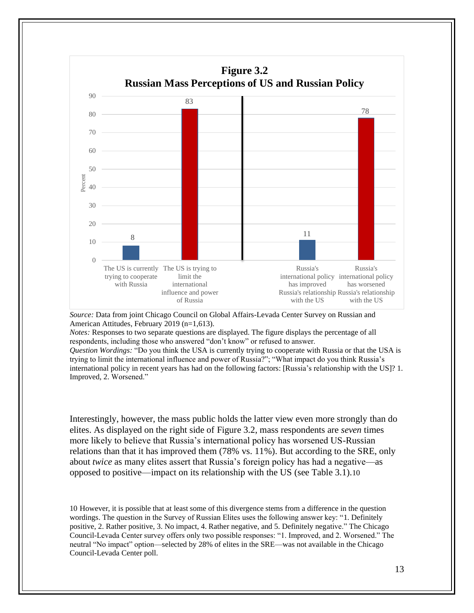

*Source:* Data from joint Chicago Council on Global Affairs-Levada Center Survey on Russian and American Attitudes, February 2019 (n=1,613).

*Notes:* Responses to two separate questions are displayed. The figure displays the percentage of all respondents, including those who answered "don't know" or refused to answer.

*Question Wordings:* "Do you think the USA is currently trying to cooperate with Russia or that the USA is trying to limit the international influence and power of Russia?"; "What impact do you think Russia's international policy in recent years has had on the following factors: [Russia's relationship with the US]? 1. Improved, 2. Worsened."

Interestingly, however, the mass public holds the latter view even more strongly than do elites. As displayed on the right side of Figure 3.2, mass respondents are *seven* times more likely to believe that Russia's international policy has worsened US-Russian relations than that it has improved them (78% vs. 11%). But according to the SRE, only about *twice* as many elites assert that Russia's foreign policy has had a negative—as opposed to positive—impact on its relationship with the US (see Table 3.1).10

10 However, it is possible that at least some of this divergence stems from a difference in the question wordings. The question in the Survey of Russian Elites uses the following answer key: "1. Definitely positive, 2. Rather positive, 3. No impact, 4. Rather negative, and 5. Definitely negative." The Chicago Council-Levada Center survey offers only two possible responses: "1. Improved, and 2. Worsened." The neutral "No impact" option—selected by 28% of elites in the SRE—was not available in the Chicago Council-Levada Center poll.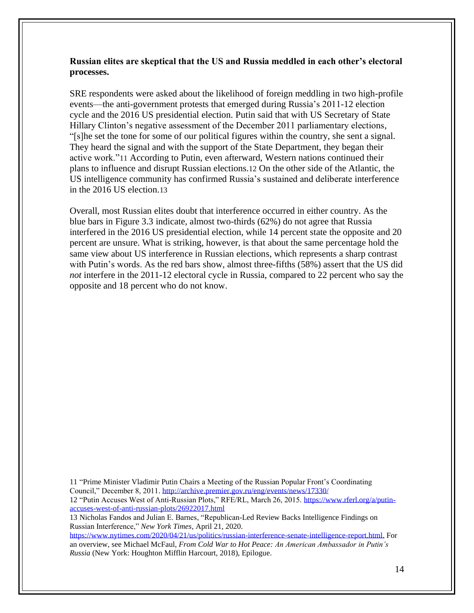# **Russian elites are skeptical that the US and Russia meddled in each other's electoral processes.**

SRE respondents were asked about the likelihood of foreign meddling in two high-profile events—the anti-government protests that emerged during Russia's 2011-12 election cycle and the 2016 US presidential election. Putin said that with US Secretary of State Hillary Clinton's negative assessment of the December 2011 parliamentary elections, "[s]he set the tone for some of our political figures within the country, she sent a signal. They heard the signal and with the support of the State Department, they began their active work."11 According to Putin, even afterward, Western nations continued their plans to influence and disrupt Russian elections.12 On the other side of the Atlantic, the US intelligence community has confirmed Russia's sustained and deliberate interference in the 2016 US election.13

Overall, most Russian elites doubt that interference occurred in either country. As the blue bars in Figure 3.3 indicate, almost two-thirds (62%) do not agree that Russia interfered in the 2016 US presidential election, while 14 percent state the opposite and 20 percent are unsure. What is striking, however, is that about the same percentage hold the same view about US interference in Russian elections, which represents a sharp contrast with Putin's words. As the red bars show, almost three-fifths (58%) assert that the US did *not* interfere in the 2011-12 electoral cycle in Russia, compared to 22 percent who say the opposite and 18 percent who do not know.

11 "Prime Minister Vladimir Putin Chairs a Meeting of the Russian Popular Front's Coordinating Council," December 8, 2011. <http://archive.premier.gov.ru/eng/events/news/17330/> 12 "Putin Accuses West of Anti-Russian Plots," RFE/RL, March 26, 2015. [https://www.rferl.org/a/putin](https://www.rferl.org/a/putin-accuses-west-of-anti-russian-plots/26922017.html)[accuses-west-of-anti-russian-plots/26922017.html](https://www.rferl.org/a/putin-accuses-west-of-anti-russian-plots/26922017.html)

13 Nicholas Fandos and Julian E. Barnes, "Republican-Led Review Backs Intelligence Findings on Russian Interference," *New York Times*, April 21, 2020.

[https://www.nytimes.com/2020/04/21/us/politics/russian-interference-senate-intelligence-report.html.](https://www.nytimes.com/2020/04/21/us/politics/russian-interference-senate-intelligence-report.html) For an overview, see Michael McFaul, *From Cold War to Hot Peace: An American Ambassador in Putin's Russia* (New York: Houghton Mifflin Harcourt, 2018), Epilogue.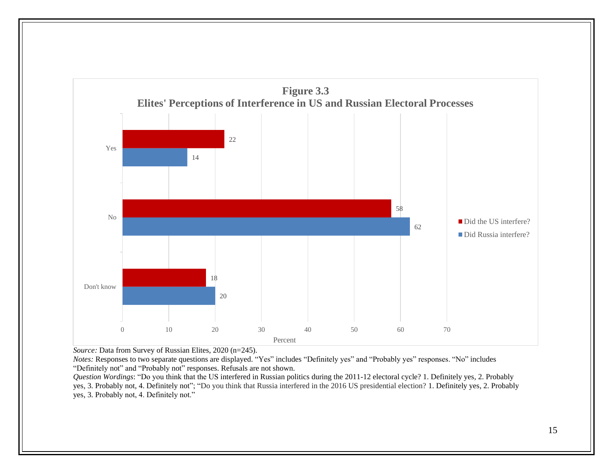

*Source:* Data from Survey of Russian Elites, 2020 (n=245).

*Notes:* Responses to two separate questions are displayed. "Yes" includes "Definitely yes" and "Probably yes" responses. "No" includes "Definitely not" and "Probably not" responses. Refusals are not shown.

*Question Wordings*: "Do you think that the US interfered in Russian politics during the 2011-12 electoral cycle? 1. Definitely yes, 2. Probably yes, 3. Probably not, 4. Definitely not"; "Do you think that Russia interfered in the 2016 US presidential election? 1. Definitely yes, 2. Probably yes, 3. Probably not, 4. Definitely not."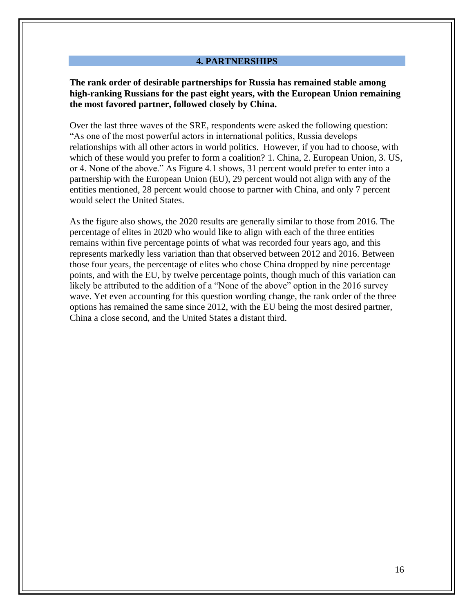#### **4. PARTNERSHIPS**

**The rank order of desirable partnerships for Russia has remained stable among high-ranking Russians for the past eight years, with the European Union remaining the most favored partner, followed closely by China.**

Over the last three waves of the SRE, respondents were asked the following question: "As one of the most powerful actors in international politics, Russia develops relationships with all other actors in world politics. However, if you had to choose, with which of these would you prefer to form a coalition? 1. China, 2. European Union, 3. US, or 4. None of the above." As Figure 4.1 shows, 31 percent would prefer to enter into a partnership with the European Union (EU), 29 percent would not align with any of the entities mentioned, 28 percent would choose to partner with China, and only 7 percent would select the United States.

As the figure also shows, the 2020 results are generally similar to those from 2016. The percentage of elites in 2020 who would like to align with each of the three entities remains within five percentage points of what was recorded four years ago, and this represents markedly less variation than that observed between 2012 and 2016. Between those four years, the percentage of elites who chose China dropped by nine percentage points, and with the EU, by twelve percentage points, though much of this variation can likely be attributed to the addition of a "None of the above" option in the 2016 survey wave. Yet even accounting for this question wording change, the rank order of the three options has remained the same since 2012, with the EU being the most desired partner, China a close second, and the United States a distant third.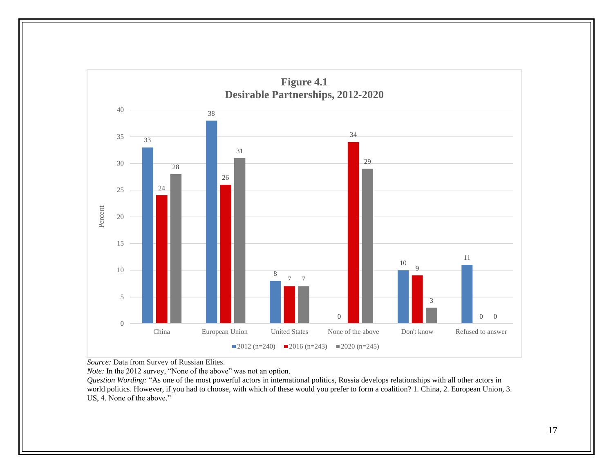

*Source:* Data from Survey of Russian Elites.

*Note:* In the 2012 survey, "None of the above" was not an option.

*Question Wording:* "As one of the most powerful actors in international politics, Russia develops relationships with all other actors in world politics. However, if you had to choose, with which of these would you prefer to form a coalition? 1. China, 2. European Union, 3. US, 4. None of the above."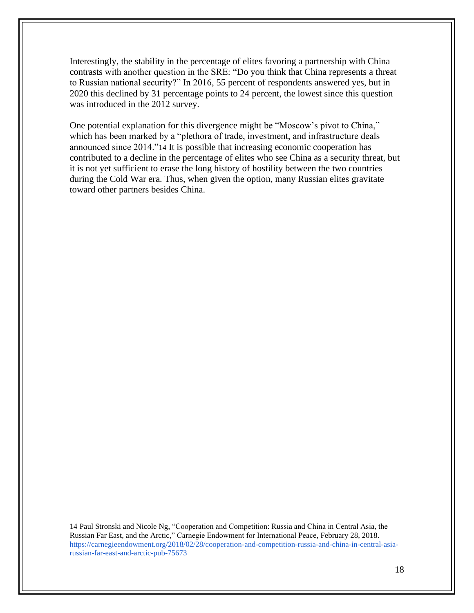Interestingly, the stability in the percentage of elites favoring a partnership with China contrasts with another question in the SRE: "Do you think that China represents a threat to Russian national security?" In 2016, 55 percent of respondents answered yes, but in 2020 this declined by 31 percentage points to 24 percent, the lowest since this question was introduced in the 2012 survey.

One potential explanation for this divergence might be "Moscow's pivot to China," which has been marked by a "plethora of trade, investment, and infrastructure deals announced since 2014."14 It is possible that increasing economic cooperation has contributed to a decline in the percentage of elites who see China as a security threat, but it is not yet sufficient to erase the long history of hostility between the two countries during the Cold War era. Thus, when given the option, many Russian elites gravitate toward other partners besides China.

14 [Paul St](https://carnegieendowment.org/experts/1024)ronski and Nicole Ng, "Cooperation and Competition: Russia and China in Central Asia, the Russian Far East, and the Arctic," Carnegie Endowment for International Peace, February 28, 2018. [https://carnegieendowment.org/2018/02/28/cooperation-and-competition-russia-and-china-in-central-asia](https://carnegieendowment.org/2018/02/28/cooperation-and-competition-russia-and-china-in-central-asia-russian-far-east-and-arctic-pub-75673)[russian-far-east-and-arctic-pub-75673](https://carnegieendowment.org/2018/02/28/cooperation-and-competition-russia-and-china-in-central-asia-russian-far-east-and-arctic-pub-75673)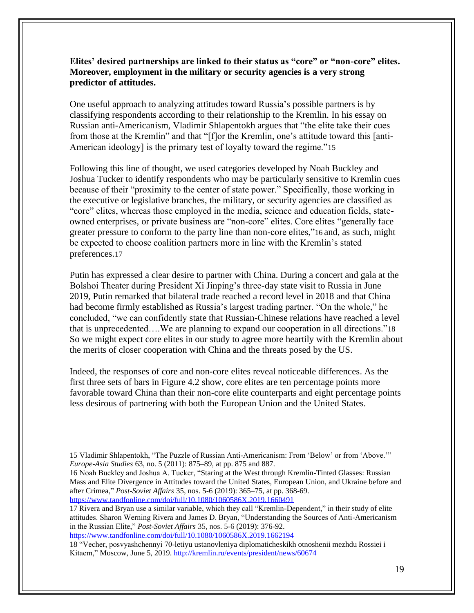# **Elites' desired partnerships are linked to their status as "core" or "non-core" elites. Moreover, employment in the military or security agencies is a very strong predictor of attitudes.**

One useful approach to analyzing attitudes toward Russia's possible partners is by classifying respondents according to their relationship to the Kremlin. In his essay on Russian anti-Americanism, Vladimir Shlapentokh argues that "the elite take their cues from those at the Kremlin" and that "[f]or the Kremlin, one's attitude toward this [anti-American ideology] is the primary test of loyalty toward the regime."15

Following this line of thought, we used categories developed by Noah Buckley and Joshua Tucker to identify respondents who may be particularly sensitive to Kremlin cues because of their "proximity to the center of state power." Specifically, those working in the executive or legislative branches, the military, or security agencies are classified as "core" elites, whereas those employed in the media, science and education fields, stateowned enterprises, or private business are "non-core" elites. Core elites "generally face greater pressure to conform to the party line than non-core elites,"16 and, as such, might be expected to choose coalition partners more in line with the Kremlin's stated preferences.17

Putin has expressed a clear desire to partner with China. During a concert and gala at the Bolshoi Theater during President Xi Jinping's three-day state visit to Russia in June 2019, Putin remarked that bilateral trade reached a record level in 2018 and that China had become firmly established as Russia's largest trading partner. "On the whole," he concluded, "we can confidently state that Russian-Chinese relations have reached a level that is unprecedented….We are planning to expand our cooperation in all directions."18 So we might expect core elites in our study to agree more heartily with the Kremlin about the merits of closer cooperation with China and the threats posed by the US.

Indeed, the responses of core and non-core elites reveal noticeable differences. As the first three sets of bars in Figure 4.2 show, core elites are ten percentage points more favorable toward China than their non-core elite counterparts and eight percentage points less desirous of partnering with both the European Union and the United States.

17 Rivera and Bryan use a similar variable, which they call "Kremlin-Dependent," in their study of elite attitudes. Sharon Werning Rivera and James D. Bryan, "Understanding the Sources of Anti-Americanism in the Russian Elite," *Post-Soviet Affairs* 35, nos. 5-6 (2019): 376-92.

<https://www.tandfonline.com/doi/full/10.1080/1060586X.2019.1662194>

18 "Vecher, posvyashchennyi 70-letiyu ustanovleniya diplomaticheskikh otnoshenii mezhdu Rossiei i Kitaem," Moscow, June 5, 2019[. http://kremlin.ru/events/president/news/60674](http://kremlin.ru/events/president/news/60674)

<sup>15</sup> Vladimir Shlapentokh, "The Puzzle of Russian Anti-Americanism: From 'Below' or from 'Above.'" *Europe-Asia Studies* 63, no. 5 (2011): 875–89, at pp. 875 and 887.

<sup>16</sup> Noah Buckley and Joshua A. Tucker, ["Staring at the West through Kremlin-Tinted Glasses: Russian](https://hamilton.primo.exlibrisgroup.com/discovery/fulldisplay?docid=alma9917835011604131&context=L&vid=01HAMILTON_INST:01HAMILTON&lang=en&adaptor=Local%20Search%20Engine&tab=Everything)  [Mass and Elite Divergence in Attitudes toward the United States, European Union, and Ukraine before and](https://hamilton.primo.exlibrisgroup.com/discovery/fulldisplay?docid=alma9917835011604131&context=L&vid=01HAMILTON_INST:01HAMILTON&lang=en&adaptor=Local%20Search%20Engine&tab=Everything)  [after Crimea,](https://hamilton.primo.exlibrisgroup.com/discovery/fulldisplay?docid=alma9917835011604131&context=L&vid=01HAMILTON_INST:01HAMILTON&lang=en&adaptor=Local%20Search%20Engine&tab=Everything)" *Post-Soviet Affairs* 35, nos. 5-6 (2019): 365–75, at pp. 368-69. <https://www.tandfonline.com/doi/full/10.1080/1060586X.2019.1660491>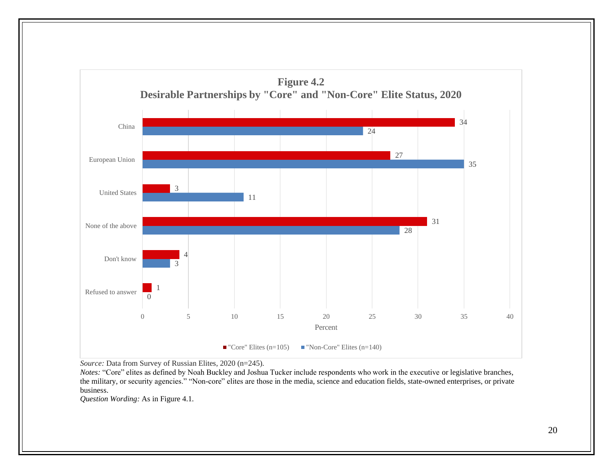

*Source:* Data from Survey of Russian Elites, 2020 (n=245).

*Notes:* "Core" elites as defined by Noah Buckley and Joshua Tucker include respondents who work in the executive or legislative branches, the military, or security agencies." "Non-core" elites are those in the media, science and education fields, state-owned enterprises, or private business.

*Question Wording:* As in Figure 4.1.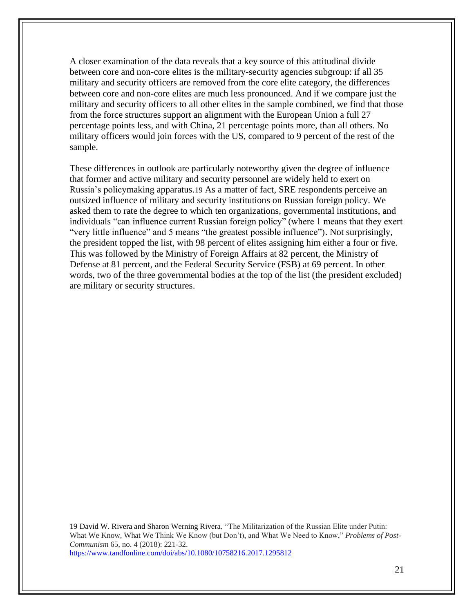A closer examination of the data reveals that a key source of this attitudinal divide between core and non-core elites is the military-security agencies subgroup: if all 35 military and security officers are removed from the core elite category, the differences between core and non-core elites are much less pronounced. And if we compare just the military and security officers to all other elites in the sample combined, we find that those from the force structures support an alignment with the European Union a full 27 percentage points less, and with China, 21 percentage points more, than all others. No military officers would join forces with the US, compared to 9 percent of the rest of the sample.

These differences in outlook are particularly noteworthy given the degree of influence that former and active military and security personnel are widely held to exert on Russia's policymaking apparatus.19 As a matter of fact, SRE respondents perceive an outsized influence of military and security institutions on Russian foreign policy. We asked them to rate the degree to which ten organizations, governmental institutions, and individuals "can influence current Russian foreign policy" (where 1 means that they exert "very little influence" and 5 means "the greatest possible influence"). Not surprisingly, the president topped the list, with 98 percent of elites assigning him either a four or five. This was followed by the Ministry of Foreign Affairs at 82 percent, the Ministry of Defense at 81 percent, and the Federal Security Service (FSB) at 69 percent. In other words, two of the three governmental bodies at the top of the list (the president excluded) are military or security structures.

19 David W. Rivera and Sharon Werning Rivera, "The Militarization of the Russian Elite under Putin: What We Know, What We Think We Know (but Don't), and What We Need to Know," *Problems of Post-Communism* 65, no. 4 (2018): 221-32. <https://www.tandfonline.com/doi/abs/10.1080/10758216.2017.1295812>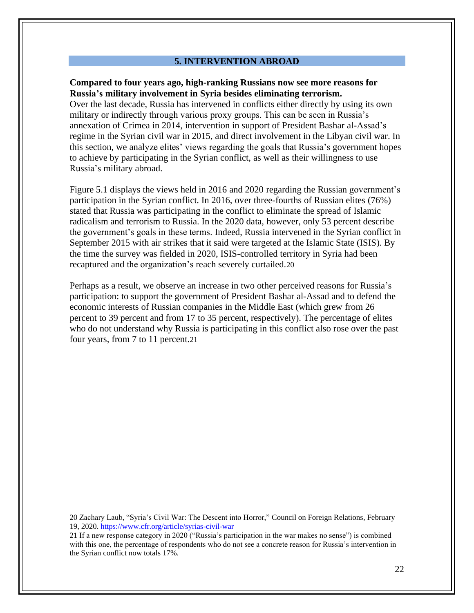#### **5. INTERVENTION ABROAD**

#### **Compared to four years ago, high-ranking Russians now see more reasons for Russia's military involvement in Syria besides eliminating terrorism.**

Over the last decade, Russia has intervened in conflicts either directly by using its own military or indirectly through various proxy groups. This can be seen in Russia's annexation of Crimea in 2014, intervention in support of President Bashar al-Assad's regime in the Syrian civil war in 2015, and direct involvement in the Libyan civil war. In this section, we analyze elites' views regarding the goals that Russia's government hopes to achieve by participating in the Syrian conflict, as well as their willingness to use Russia's military abroad.

Figure 5.1 displays the views held in 2016 and 2020 regarding the Russian government's participation in the Syrian conflict. In 2016, over three-fourths of Russian elites (76%) stated that Russia was participating in the conflict to eliminate the spread of Islamic radicalism and terrorism to Russia. In the 2020 data, however, only 53 percent describe the government's goals in these terms. Indeed, Russia intervened in the Syrian conflict in September 2015 with air strikes that it said were targeted at the Islamic State (ISIS). By the time the survey was fielded in 2020, ISIS-controlled territory in Syria had been recaptured and the organization's reach severely curtailed.20

Perhaps as a result, we observe an increase in two other perceived reasons for Russia's participation: to support the government of President Bashar al-Assad and to defend the economic interests of Russian companies in the Middle East (which grew from 26 percent to 39 percent and from 17 to 35 percent, respectively). The percentage of elites who do not understand why Russia is participating in this conflict also rose over the past four years, from 7 to 11 percent.21

20 Zachary Laub, "Syria's Civil War: The Descent into Horror," Council on Foreign Relations*,* February 19, 2020.<https://www.cfr.org/article/syrias-civil-war>

21 If a new response category in 2020 ("Russia's participation in the war makes no sense") is combined with this one, the percentage of respondents who do not see a concrete reason for Russia's intervention in the Syrian conflict now totals 17%.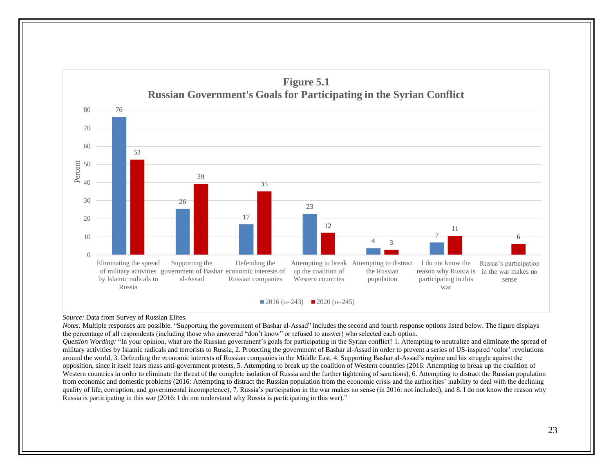

*Source:* Data from Survey of Russian Elites.

*Notes:* Multiple responses are possible. "Supporting the government of Bashar al-Assad" includes the second and fourth response options listed below. The figure displays the percentage of all respondents (including those who answered "don't know" or refused to answer) who selected each option.

*Question Wording:* "In your opinion, what are the Russian government's goals for participating in the Syrian conflict? 1. Attempting to neutralize and eliminate the spread of military activities by Islamic radicals and terrorists to Russia, 2. Protecting the government of Bashar al-Assad in order to prevent a series of US-inspired 'color' revolutions around the world, 3. Defending the economic interests of Russian companies in the Middle East, 4. Supporting Bashar al-Assad's regime and his struggle against the opposition, since it itself fears mass anti-government protests, 5. Attempting to break up the coalition of Western countries (2016: Attempting to break up the coalition of Western countries in order to eliminate the threat of the complete isolation of Russia and the further tightening of sanctions), 6. Attempting to distract the Russian population from economic and domestic problems (2016: Attempting to distract the Russian population from the economic crisis and the authorities' inability to deal with the declining quality of life, corruption, and governmental incompetence), 7. Russia's participation in the war makes no sense (in 2016: not included), and 8. I do not know the reason why Russia is participating in this war (2016: I do not understand why Russia is participating in this war)."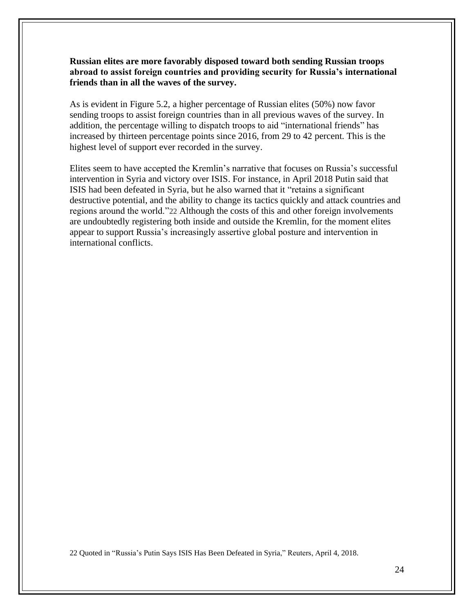**Russian elites are more favorably disposed toward both sending Russian troops abroad to assist foreign countries and providing security for Russia's international friends than in all the waves of the survey.**

As is evident in Figure 5.2, a higher percentage of Russian elites (50%) now favor sending troops to assist foreign countries than in all previous waves of the survey. In addition, the percentage willing to dispatch troops to aid "international friends" has increased by thirteen percentage points since 2016, from 29 to 42 percent. This is the highest level of support ever recorded in the survey.

Elites seem to have accepted the Kremlin's narrative that focuses on Russia's successful intervention in Syria and victory over ISIS. For instance, in April 2018 Putin said that ISIS had been defeated in Syria, but he also warned that it "retains a significant destructive potential, and the ability to change its tactics quickly and attack countries and regions around the world."22 Although the costs of this and other foreign involvements are undoubtedly registering both inside and outside the Kremlin, for the moment elites appear to support Russia's increasingly assertive global posture and intervention in international conflicts.

22 Quoted in "Russia's Putin Says ISIS Has Been Defeated in Syria," Reuters, April 4, 2018.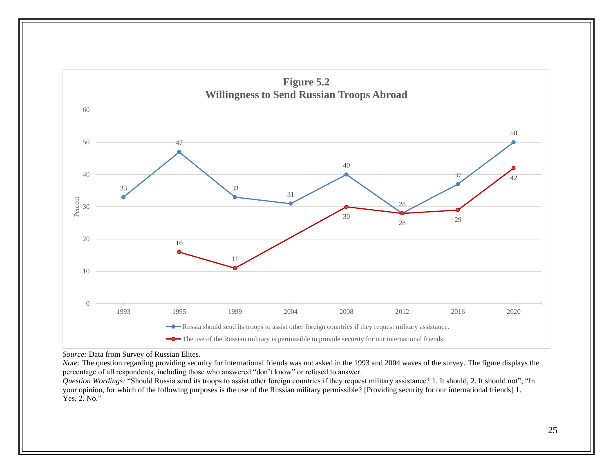

*Source:* Data from Survey of Russian Elites.

*Note:* The question regarding providing security for international friends was not asked in the 1993 and 2004 waves of the survey. The figure displays the percentage of all respondents, including those who answered "don't know" or refused to answer.

*Question Wordings:* "Should Russia send its troops to assist other foreign countries if they request military assistance? 1. It should, 2. It should not"; "In your opinion, for which of the following purposes is the use of the Russian military permissible? [Providing security for our international friends] 1. Yes, 2. No."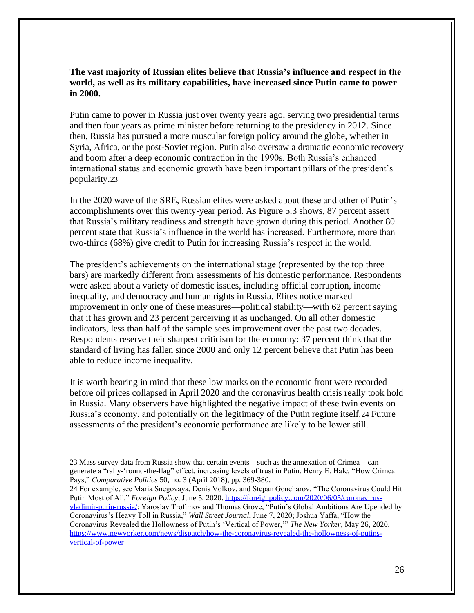# **The vast majority of Russian elites believe that Russia's influence and respect in the world, as well as its military capabilities, have increased since Putin came to power in 2000.**

Putin came to power in Russia just over twenty years ago, serving two presidential terms and then four years as prime minister before returning to the presidency in 2012. Since then, Russia has pursued a more muscular foreign policy around the globe, whether in Syria, Africa, or the post-Soviet region. Putin also oversaw a dramatic economic recovery and boom after a deep economic contraction in the 1990s. Both Russia's enhanced international status and economic growth have been important pillars of the president's popularity.23

In the 2020 wave of the SRE, Russian elites were asked about these and other of Putin's accomplishments over this twenty-year period. As Figure 5.3 shows, 87 percent assert that Russia's military readiness and strength have grown during this period. Another 80 percent state that Russia's influence in the world has increased. Furthermore, more than two-thirds (68%) give credit to Putin for increasing Russia's respect in the world.

The president's achievements on the international stage (represented by the top three bars) are markedly different from assessments of his domestic performance. Respondents were asked about a variety of domestic issues, including official corruption, income inequality, and democracy and human rights in Russia. Elites notice marked improvement in only one of these measures—political stability—with 62 percent saying that it has grown and 23 percent perceiving it as unchanged. On all other domestic indicators, less than half of the sample sees improvement over the past two decades. Respondents reserve their sharpest criticism for the economy: 37 percent think that the standard of living has fallen since 2000 and only 12 percent believe that Putin has been able to reduce income inequality.

It is worth bearing in mind that these low marks on the economic front were recorded before oil prices collapsed in April 2020 and the coronavirus health crisis really took hold in Russia. Many observers have highlighted the negative impact of these twin events on Russia's economy, and potentially on the legitimacy of the Putin regime itself.24 Future assessments of the president's economic performance are likely to be lower still.

24 For example, see Maria Snegovaya, Denis Volkov, and Stepan Goncharov, "The Coronavirus Could Hit Putin Most of All," *Foreign Policy*, June 5, 2020. [https://foreignpolicy.com/2020/06/05/coronavirus](https://foreignpolicy.com/2020/06/05/coronavirus-vladimir-putin-russia/)[vladimir-putin-russia/;](https://foreignpolicy.com/2020/06/05/coronavirus-vladimir-putin-russia/) Yaroslav Trofimov and Thomas Grove, "Putin's Global Ambitions Are Upended by Coronavirus's Heavy Toll in Russia," *Wall Street Journal*, June 7, 2020; Joshua Yaffa, "How the Coronavirus Revealed the Hollowness of Putin's 'Vertical of Power,'" *The New Yorker*, May 26, 2020. [https://www.newyorker.com/news/dispatch/how-the-coronavirus-revealed-the-hollowness-of-putins](https://www.newyorker.com/news/dispatch/how-the-coronavirus-revealed-the-hollowness-of-putins-vertical-of-power)[vertical-of-power](https://www.newyorker.com/news/dispatch/how-the-coronavirus-revealed-the-hollowness-of-putins-vertical-of-power)

<sup>23</sup> Mass survey data from Russia show that certain events—such as the annexation of Crimea—can generate a "rally-'round-the-flag" effect, increasing levels of trust in Putin. Henry E. Hale, "How Crimea Pays," *Comparative Politics* 50, no. 3 (April 2018), pp. 369-380.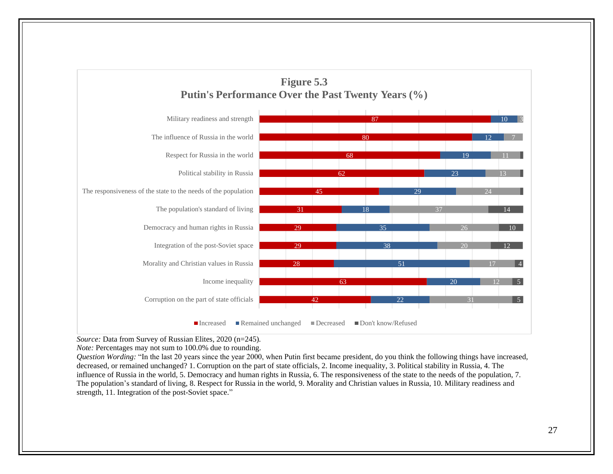

*Source:* Data from Survey of Russian Elites, 2020 (n=245).

*Note:* Percentages may not sum to 100.0% due to rounding.

*Question Wording:* "In the last 20 years since the year 2000, when Putin first became president, do you think the following things have increased, decreased, or remained unchanged? 1. Corruption on the part of state officials, 2. Income inequality, 3. Political stability in Russia, 4. The influence of Russia in the world, 5. Democracy and human rights in Russia, 6. The responsiveness of the state to the needs of the population, 7. The population's standard of living, 8. Respect for Russia in the world, 9. Morality and Christian values in Russia, 10. Military readiness and strength, 11. Integration of the post-Soviet space."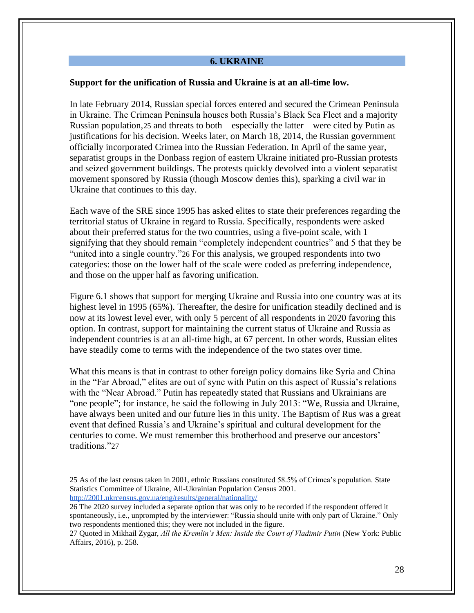#### **6. UKRAINE**

#### **Support for the unification of Russia and Ukraine is at an all-time low.**

In late February 2014, Russian special forces entered and secured the Crimean Peninsula in Ukraine. The Crimean Peninsula houses both Russia's Black Sea Fleet and a majority Russian population,25 and threats to both—especially the latter—were cited by Putin as justifications for his decision. Weeks later, on March 18, 2014, the Russian government officially incorporated Crimea into the Russian Federation. In April of the same year, separatist groups in the Donbass region of eastern Ukraine initiated pro-Russian protests and seized government buildings. The protests quickly devolved into a violent separatist movement sponsored by Russia (though Moscow denies this), sparking a civil war in Ukraine that continues to this day.

Each wave of the SRE since 1995 has asked elites to state their preferences regarding the territorial status of Ukraine in regard to Russia. Specifically, respondents were asked about their preferred status for the two countries, using a five-point scale, with 1 signifying that they should remain "completely independent countries" and 5 that they be "united into a single country."26 For this analysis, we grouped respondents into two categories: those on the lower half of the scale were coded as preferring independence, and those on the upper half as favoring unification.

Figure 6.1 shows that support for merging Ukraine and Russia into one country was at its highest level in 1995 (65%). Thereafter, the desire for unification steadily declined and is now at its lowest level ever, with only 5 percent of all respondents in 2020 favoring this option. In contrast, support for maintaining the current status of Ukraine and Russia as independent countries is at an all-time high, at 67 percent. In other words, Russian elites have steadily come to terms with the independence of the two states over time.

What this means is that in contrast to other foreign policy domains like Syria and China in the "Far Abroad," elites are out of sync with Putin on this aspect of Russia's relations with the "Near Abroad." Putin has repeatedly stated that Russians and Ukrainians are "one people"; for instance, he said the following in July 2013: "We, Russia and Ukraine, have always been united and our future lies in this unity. The Baptism of Rus was a great event that defined Russia's and Ukraine's spiritual and cultural development for the centuries to come. We must remember this brotherhood and preserve our ancestors' traditions."27

26 The 2020 survey included a separate option that was only to be recorded if the respondent offered it spontaneously, i.e., unprompted by the interviewer: "Russia should unite with only part of Ukraine." Only two respondents mentioned this; they were not included in the figure.

27 Quoted in Mikhail Zygar, *All the Kremlin's Men: Inside the Court of Vladimir Putin* (New York: Public Affairs, 2016), p. 258.

<sup>25</sup> As of the last census taken in 2001, ethnic Russians constituted 58.5% of Crimea's population. State Statistics Committee of Ukraine, All-Ukrainian Population Census 2001. <http://2001.ukrcensus.gov.ua/eng/results/general/nationality/>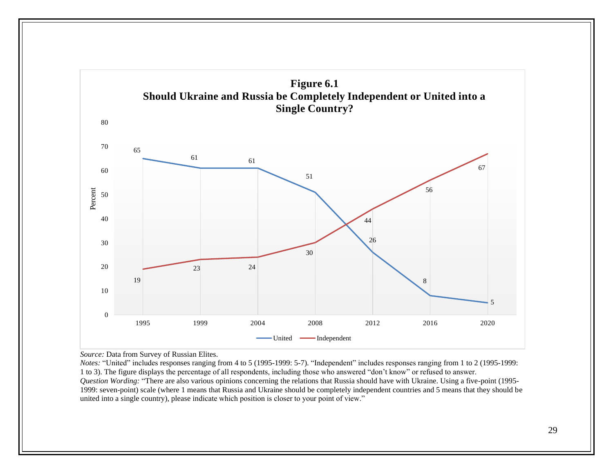

*Source:* Data from Survey of Russian Elites.

*Notes:* "United" includes responses ranging from 4 to 5 (1995-1999: 5-7). "Independent" includes responses ranging from 1 to 2 (1995-1999: 1 to 3). The figure displays the percentage of all respondents, including those who answered "don't know" or refused to answer. *Question Wording:* "There are also various opinions concerning the relations that Russia should have with Ukraine. Using a five-point (1995- 1999: seven-point) scale (where 1 means that Russia and Ukraine should be completely independent countries and 5 means that they should be united into a single country), please indicate which position is closer to your point of view."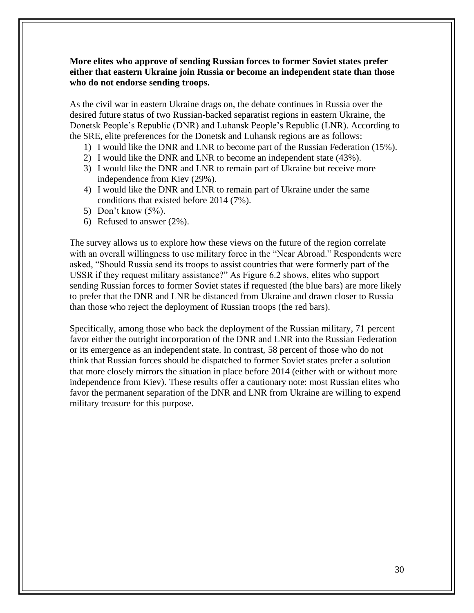# **More elites who approve of sending Russian forces to former Soviet states prefer either that eastern Ukraine join Russia or become an independent state than those who do not endorse sending troops.**

As the civil war in eastern Ukraine drags on, the debate continues in Russia over the desired future status of two Russian-backed separatist regions in eastern Ukraine, the Donetsk People's Republic (DNR) and Luhansk People's Republic (LNR). According to the SRE, elite preferences for the Donetsk and Luhansk regions are as follows:

- 1) I would like the DNR and LNR to become part of the Russian Federation (15%).
- 2) I would like the DNR and LNR to become an independent state (43%).
- 3) I would like the DNR and LNR to remain part of Ukraine but receive more independence from Kiev (29%).
- 4) I would like the DNR and LNR to remain part of Ukraine under the same conditions that existed before 2014 (7%).
- 5) Don't know (5%).
- 6) Refused to answer (2%).

The survey allows us to explore how these views on the future of the region correlate with an overall willingness to use military force in the "Near Abroad." Respondents were asked, "Should Russia send its troops to assist countries that were formerly part of the USSR if they request military assistance?" As Figure 6.2 shows, elites who support sending Russian forces to former Soviet states if requested (the blue bars) are more likely to prefer that the DNR and LNR be distanced from Ukraine and drawn closer to Russia than those who reject the deployment of Russian troops (the red bars).

Specifically, among those who back the deployment of the Russian military, 71 percent favor either the outright incorporation of the DNR and LNR into the Russian Federation or its emergence as an independent state. In contrast, 58 percent of those who do not think that Russian forces should be dispatched to former Soviet states prefer a solution that more closely mirrors the situation in place before 2014 (either with or without more independence from Kiev). These results offer a cautionary note: most Russian elites who favor the permanent separation of the DNR and LNR from Ukraine are willing to expend military treasure for this purpose.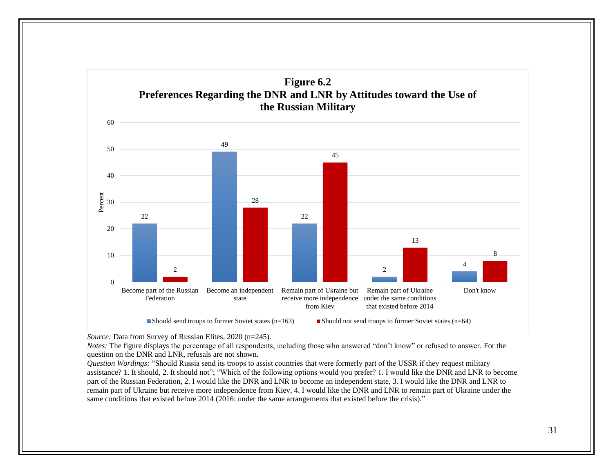

*Source:* Data from Survey of Russian Elites, 2020 (n=245).

*Notes:* The figure displays the percentage of all respondents, including those who answered "don't know" or refused to answer. For the question on the DNR and LNR, refusals are not shown.

*Question Wordings:* "Should Russia send its troops to assist countries that were formerly part of the USSR if they request military assistance? 1. It should, 2. It should not"; "Which of the following options would you prefer? 1. I would like the DNR and LNR to become part of the Russian Federation, 2. I would like the DNR and LNR to become an independent state, 3. I would like the DNR and LNR to remain part of Ukraine but receive more independence from Kiev, 4. I would like the DNR and LNR to remain part of Ukraine under the same conditions that existed before 2014 (2016: under the same arrangements that existed before the crisis)."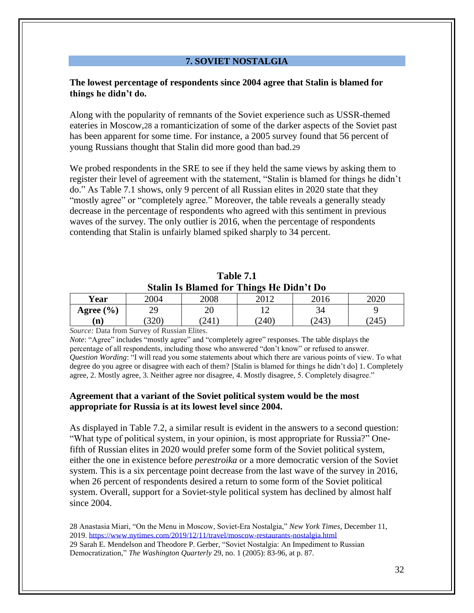# **7. SOVIET NOSTALGIA**

# **The lowest percentage of respondents since 2004 agree that Stalin is blamed for things he didn't do.**

Along with the popularity of remnants of the Soviet experience such as USSR-themed eateries in Moscow,28 a romanticization of some of the darker aspects of the Soviet past has been apparent for some time. For instance, a 2005 survey found that 56 percent of young Russians thought that Stalin did more good than bad.29

We probed respondents in the SRE to see if they held the same views by asking them to register their level of agreement with the statement, "Stalin is blamed for things he didn't do." As Table 7.1 shows, only 9 percent of all Russian elites in 2020 state that they "mostly agree" or "completely agree." Moreover, the table reveals a generally steady decrease in the percentage of respondents who agreed with this sentiment in previous waves of the survey. The only outlier is 2016, when the percentage of respondents contending that Stalin is unfairly blamed spiked sharply to 34 percent.

|  |                                          | Table 7.1 |  |  |
|--|------------------------------------------|-----------|--|--|
|  | Stalin Is Blamed for Things He Didn't Do |           |  |  |

| Year              | 2004        | 2008  | . .<br>2012   | 2016  | 2020  |
|-------------------|-------------|-------|---------------|-------|-------|
| (9/0)<br>Agree (' | າດ<br>ر ب   | 20    | $\sim$<br>. . | 34    |       |
| $\mathbf{n}$      | ാറസ<br>JZU. | [241] | (240)         | (243) | (245) |

*Source:* Data from Survey of Russian Elites.

*Note*: "Agree" includes "mostly agree" and "completely agree" responses. The table displays the percentage of all respondents, including those who answered "don't know" or refused to answer. *Question Wording*: "I will read you some statements about which there are various points of view. To what degree do you agree or disagree with each of them? [Stalin is blamed for things he didn't do] 1. Completely agree, 2. Mostly agree, 3. Neither agree nor disagree, 4. Mostly disagree, 5. Completely disagree."

#### **Agreement that a variant of the Soviet political system would be the most appropriate for Russia is at its lowest level since 2004.**

As displayed in Table 7.2, a similar result is evident in the answers to a second question: "What type of political system, in your opinion, is most appropriate for Russia?" Onefifth of Russian elites in 2020 would prefer some form of the Soviet political system, either the one in existence before *perestroika* or a more democratic version of the Soviet system. This is a six percentage point decrease from the last wave of the survey in 2016, when 26 percent of respondents desired a return to some form of the Soviet political system. Overall, support for a Soviet-style political system has declined by almost half since 2004.

28 Anastasia Miari, "On the Menu in Moscow, Soviet-Era Nostalgia," *New York Times*, December 11, 2019.<https://www.nytimes.com/2019/12/11/travel/moscow-restaurants-nostalgia.html> 29 Sarah E. Mendelson and Theodore P. Gerber, "Soviet Nostalgia: An Impediment to Russian Democratization," *The Washington Quarterly* 29, no. 1 (2005): 83-96, at p. 87.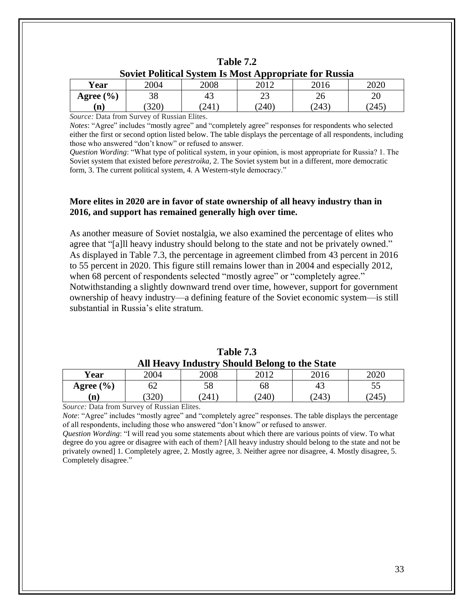| Soviet Political System Is Most Appropriate for Russia |            |      |     |       |     |
|--------------------------------------------------------|------------|------|-----|-------|-----|
| Year                                                   | 2004       | 2008 |     |       |     |
| Agree $(\% )$                                          |            | 45   |     |       |     |
| 'n                                                     | <b>320</b> | 241  | 240 | (243) | 245 |

| Table 7.2                                                     |
|---------------------------------------------------------------|
| <b>Soviet Political System Is Most Appropriate for Russia</b> |

*Source:* Data from Survey of Russian Elites.

*Notes*: "Agree" includes "mostly agree" and "completely agree" responses for respondents who selected either the first or second option listed below. The table displays the percentage of all respondents, including those who answered "don't know" or refused to answer.

*Question Wording*: "What type of political system, in your opinion, is most appropriate for Russia? 1. The Soviet system that existed before *perestroika,* 2. The Soviet system but in a different, more democratic form, 3. The current political system, 4. A Western-style democracy."

# **More elites in 2020 are in favor of state ownership of all heavy industry than in 2016, and support has remained generally high over time.**

As another measure of Soviet nostalgia, we also examined the percentage of elites who agree that "[a]ll heavy industry should belong to the state and not be privately owned." As displayed in Table 7.3, the percentage in agreement climbed from 43 percent in 2016 to 55 percent in 2020. This figure still remains lower than in 2004 and especially 2012, when 68 percent of respondents selected "mostly agree" or "completely agree." Notwithstanding a slightly downward trend over time, however, support for government ownership of heavy industry—a defining feature of the Soviet economic system—is still substantial in Russia's elite stratum.

|                              | $\sim$ $\sim$ $\sim$ $\sim$ $\sim$ $\sim$ $\sim$ |      |             |      |       |
|------------------------------|--------------------------------------------------|------|-------------|------|-------|
| Year                         | 2004                                             | 2008 | າດ1າ        | 2016 | 2020  |
| Agree $(\% )$                | ΟZ                                               | 58   | 68          | 45   | JJ    |
| m                            | $320^\circ$                                      | 241  | $240^\circ$ | 243  | (245) |
| -<br>$\sim$<br>$\sim$ $\sim$ | $\sim$                                           | $-1$ |             |      |       |

**Table 7.3 All Heavy Industry Should Belong to the State**

*Source:* Data from Survey of Russian Elites.

*Note*: "Agree" includes "mostly agree" and "completely agree" responses. The table displays the percentage of all respondents, including those who answered "don't know" or refused to answer.

*Question Wording*: "I will read you some statements about which there are various points of view. To what degree do you agree or disagree with each of them? [All heavy industry should belong to the state and not be privately owned] 1. Completely agree, 2. Mostly agree, 3. Neither agree nor disagree, 4. Mostly disagree, 5. Completely disagree."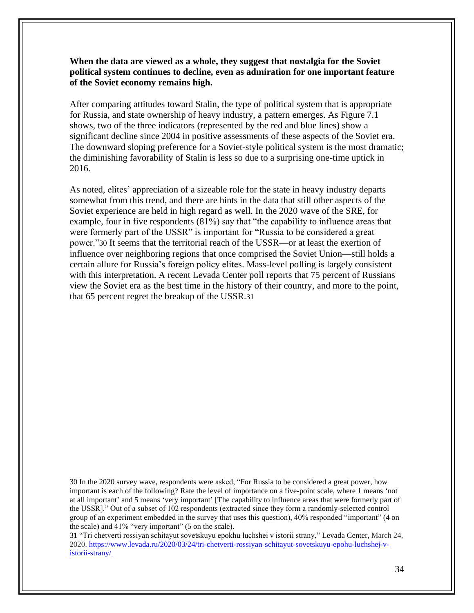**When the data are viewed as a whole, they suggest that nostalgia for the Soviet political system continues to decline, even as admiration for one important feature of the Soviet economy remains high.**

After comparing attitudes toward Stalin, the type of political system that is appropriate for Russia, and state ownership of heavy industry, a pattern emerges. As Figure 7.1 shows, two of the three indicators (represented by the red and blue lines) show a significant decline since 2004 in positive assessments of these aspects of the Soviet era. The downward sloping preference for a Soviet-style political system is the most dramatic; the diminishing favorability of Stalin is less so due to a surprising one-time uptick in 2016.

As noted, elites' appreciation of a sizeable role for the state in heavy industry departs somewhat from this trend, and there are hints in the data that still other aspects of the Soviet experience are held in high regard as well. In the 2020 wave of the SRE, for example, four in five respondents (81%) say that "the capability to influence areas that were formerly part of the USSR" is important for "Russia to be considered a great power."30 It seems that the territorial reach of the USSR—or at least the exertion of influence over neighboring regions that once comprised the Soviet Union—still holds a certain allure for Russia's foreign policy elites. Mass-level polling is largely consistent with this interpretation. A recent Levada Center poll reports that 75 percent of Russians view the Soviet era as the best time in the history of their country, and more to the point, that 65 percent regret the breakup of the USSR.31

30 In the 2020 survey wave, respondents were asked, "For Russia to be considered a great power, how important is each of the following? Rate the level of importance on a five-point scale, where 1 means 'not at all important' and 5 means 'very important' [The capability to influence areas that were formerly part of the USSR]." Out of a subset of 102 respondents (extracted since they form a randomly-selected control group of an experiment embedded in the survey that uses this question), 40% responded "important" (4 on the scale) and 41% "very important" (5 on the scale).

31 "Tri chetverti rossiyan schitayut sovetskuyu epokhu luchshei v istorii strany," Levada Center, March 24, 2020. [https://www.levada.ru/2020/03/24/tri-chetverti-rossiyan-schitayut-sovetskuyu-epohu-luchshej-v](https://www.levada.ru/2020/03/24/tri-chetverti-rossiyan-schitayut-sovetskuyu-epohu-luchshej-v-istorii-strany/)[istorii-strany/](https://www.levada.ru/2020/03/24/tri-chetverti-rossiyan-schitayut-sovetskuyu-epohu-luchshej-v-istorii-strany/)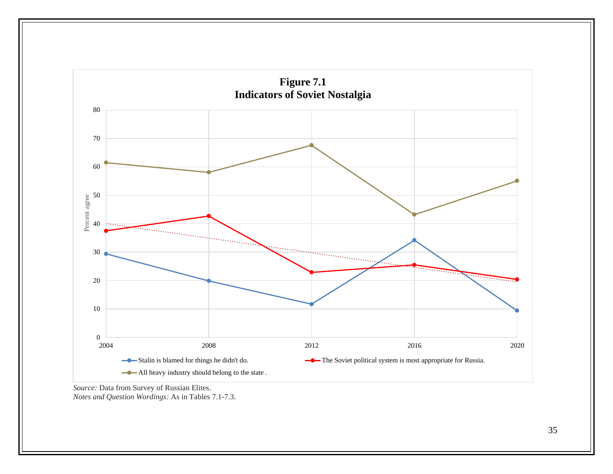

*Source:* Data from Survey of Russian Elites. *Notes and Question Wordings:* As in Tables 7.1-7.3.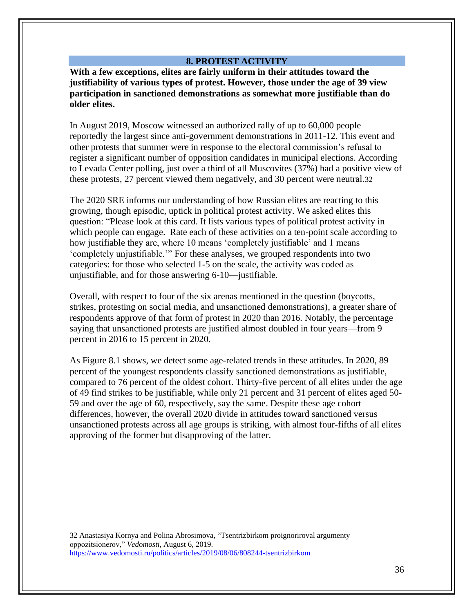#### **8. PROTEST ACTIVITY**

**With a few exceptions, elites are fairly uniform in their attitudes toward the justifiability of various types of protest. However, those under the age of 39 view participation in sanctioned demonstrations as somewhat more justifiable than do older elites.**

In August 2019, Moscow witnessed an authorized rally of up to 60,000 people reportedly the largest since anti-government demonstrations in 2011-12. This event and other protests that summer were in response to the electoral commission's refusal to register a significant number of opposition candidates in municipal elections. According to Levada Center polling, just over a third of all Muscovites (37%) had a positive view of these protests, 27 percent viewed them negatively, and 30 percent were neutral.32

The 2020 SRE informs our understanding of how Russian elites are reacting to this growing, though episodic, uptick in political protest activity. We asked elites this question: "Please look at this card. It lists various types of political protest activity in which people can engage. Rate each of these activities on a ten-point scale according to how justifiable they are, where 10 means 'completely justifiable' and 1 means 'completely unjustifiable.'" For these analyses, we grouped respondents into two categories: for those who selected 1-5 on the scale, the activity was coded as unjustifiable, and for those answering 6-10—justifiable.

Overall, with respect to four of the six arenas mentioned in the question (boycotts, strikes, protesting on social media, and unsanctioned demonstrations), a greater share of respondents approve of that form of protest in 2020 than 2016. Notably, the percentage saying that unsanctioned protests are justified almost doubled in four years—from 9 percent in 2016 to 15 percent in 2020.

As Figure 8.1 shows, we detect some age-related trends in these attitudes. In 2020, 89 percent of the youngest respondents classify sanctioned demonstrations as justifiable, compared to 76 percent of the oldest cohort. Thirty-five percent of all elites under the age of 49 find strikes to be justifiable, while only 21 percent and 31 percent of elites aged 50- 59 and over the age of 60, respectively, say the same. Despite these age cohort differences, however, the overall 2020 divide in attitudes toward sanctioned versus unsanctioned protests across all age groups is striking, with almost four-fifths of all elites approving of the former but disapproving of the latter.

32 Anastasiya Kornya and Polina Abrosimova, "Tsentrizbirkom proignoriroval argumenty oppozitsionerov," *Vedomosti,* August 6, 2019. <https://www.vedomosti.ru/politics/articles/2019/08/06/808244-tsentrizbirkom>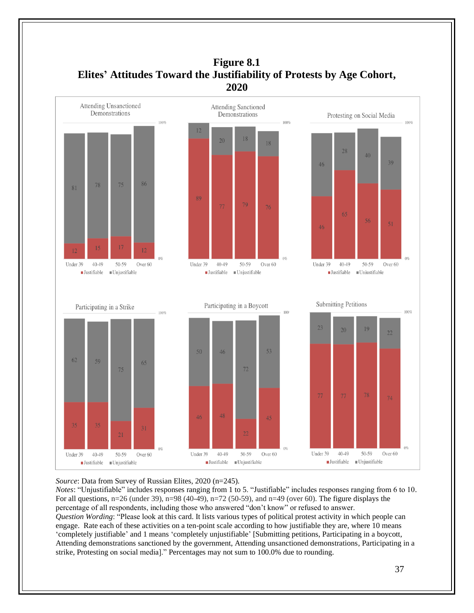

# **Figure 8.1 Elites' Attitudes Toward the Justifiability of Protests by Age Cohort,**

#### *Source*: Data from Survey of Russian Elites, 2020 (n=245).

*Notes*: "Unjustifiable" includes responses ranging from 1 to 5. "Justifiable" includes responses ranging from 6 to 10. For all questions, n=26 (under 39), n=98 (40-49), n=72 (50-59), and n=49 (over 60). The figure displays the percentage of all respondents, including those who answered "don't know" or refused to answer. *Question Wording*: "Please look at this card. It lists various types of political protest activity in which people can engage. Rate each of these activities on a ten-point scale according to how justifiable they are, where 10 means 'completely justifiable' and 1 means 'completely unjustifiable' [Submitting petitions, Participating in a boycott, Attending demonstrations sanctioned by the government, Attending unsanctioned demonstrations, Participating in a strike, Protesting on social media]." Percentages may not sum to 100.0% due to rounding.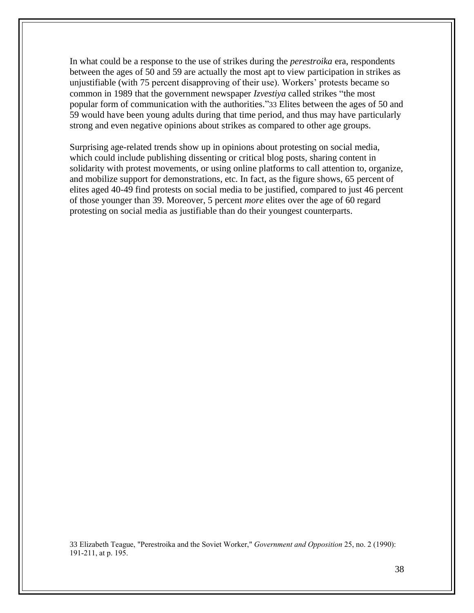In what could be a response to the use of strikes during the *perestroika* era, respondents between the ages of 50 and 59 are actually the most apt to view participation in strikes as unjustifiable (with 75 percent disapproving of their use). Workers' protests became so common in 1989 that the government newspaper *Izvestiya* called strikes "the most popular form of communication with the authorities."33 Elites between the ages of 50 and 59 would have been young adults during that time period, and thus may have particularly strong and even negative opinions about strikes as compared to other age groups.

Surprising age-related trends show up in opinions about protesting on social media, which could include publishing dissenting or critical blog posts, sharing content in solidarity with protest movements, or using online platforms to call attention to, organize, and mobilize support for demonstrations, etc. In fact, as the figure shows, 65 percent of elites aged 40-49 find protests on social media to be justified, compared to just 46 percent of those younger than 39. Moreover, 5 percent *more* elites over the age of 60 regard protesting on social media as justifiable than do their youngest counterparts.

33 Elizabeth Teague, "Perestroika and the Soviet Worker," *Government and Opposition* 25, no. 2 (1990): 191-211, at p. 195.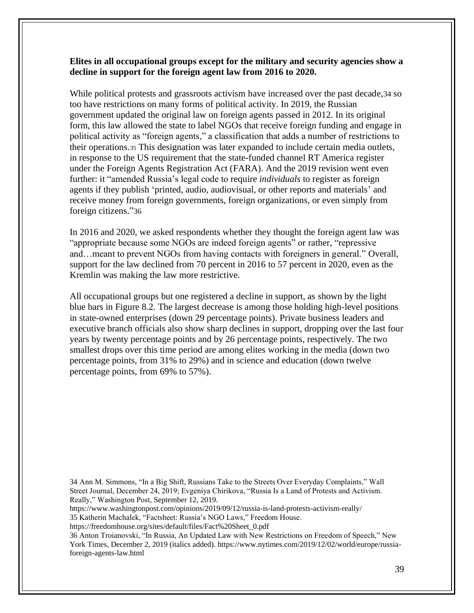## **Elites in all occupational groups except for the military and security agencies show a decline in support for the foreign agent law from 2016 to 2020.**

While political protests and grassroots activism have increased over the past decade,34 so too have restrictions on many forms of political activity. In 2019, the Russian government updated the original law on foreign agents passed in 2012. In its original form, this law allowed the state to label NGOs that receive foreign funding and engage in political activity as "foreign agents," a classification that adds a number of restrictions to their operations.<sup>35</sup> This designation was later expanded to include certain media outlets, in response to the US requirement that the state-funded channel RT America register under the Foreign Agents Registration Act (FARA). And the 2019 revision went even further: it "amended Russia's legal code to require *individuals* to register as foreign agents if they publish 'printed, audio, audiovisual, or other reports and materials' and receive money from foreign governments, foreign organizations, or even simply from foreign citizens."36

In 2016 and 2020, we asked respondents whether they thought the foreign agent law was "appropriate because some NGOs are indeed foreign agents" or rather, "repressive and…meant to prevent NGOs from having contacts with foreigners in general." Overall, support for the law declined from 70 percent in 2016 to 57 percent in 2020, even as the Kremlin was making the law more restrictive.

All occupational groups but one registered a decline in support, as shown by the light blue bars in Figure 8.2. The largest decrease is among those holding high-level positions in state-owned enterprises (down 29 percentage points). Private business leaders and executive branch officials also show sharp declines in support, dropping over the last four years by twenty percentage points and by 26 percentage points, respectively. The two smallest drops over this time period are among elites working in the media (down two percentage points, from 31% to 29%) and in science and education (down twelve percentage points, from 69% to 57%).

34 Ann M. Simmons, "In a Big Shift, Russians Take to the Streets Over Everyday Complaints," Wall Street Journal, December 24, 2019; Evgeniya Chirikova, "Russia Is a Land of Protests and Activism. Really," Washington Post, September 12, 2019.

<https://www.washingtonpost.com/opinions/2019/09/12/russia-is-land-protests-activism-really/>

35 Katherin Machalek, "Factsheet: Russia's NGO Laws," Freedom House.

[https://freedomhouse.org/sites/default/files/Fact%20Sheet\\_0.pdf](https://freedomhouse.org/sites/default/files/Fact%20Sheet_0.pdf)

36 Anton Troianovski, "In Russia, An Updated Law with New Restrictions on Freedom of Speech," New York Times, December 2, 2019 (italics added). [https://www.nytimes.com/2019/12/02/world/europe/russia](https://www.nytimes.com/2019/12/02/world/europe/russia-foreign-agents-law.html)[foreign-agents-law.html](https://www.nytimes.com/2019/12/02/world/europe/russia-foreign-agents-law.html)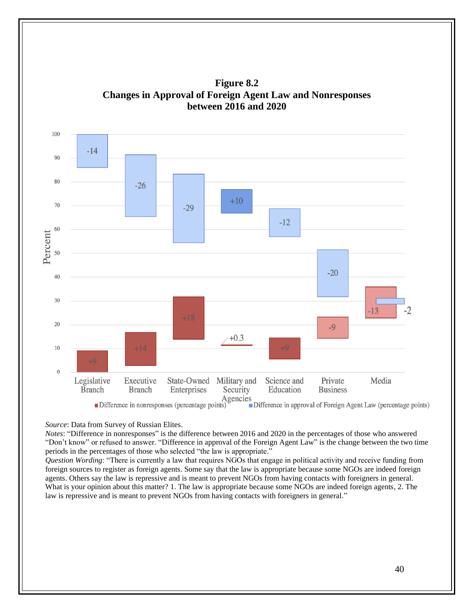

**Figure 8.2 Changes in Approval of Foreign Agent Law and Nonresponses between 2016 and 2020**

*Source*: Data from Survey of Russian Elites.

*Notes*: "Difference in nonresponses" is the difference between 2016 and 2020 in the percentages of those who answered "Don't know" or refused to answer. "Difference in approval of the Foreign Agent Law" is the change between the two time periods in the percentages of those who selected "the law is appropriate."

*Question Wording*: "There is currently a law that requires NGOs that engage in political activity and receive funding from foreign sources to register as foreign agents. Some say that the law is appropriate because some NGOs are indeed foreign agents. Others say the law is repressive and is meant to prevent NGOs from having contacts with foreigners in general. What is your opinion about this matter? 1. The law is appropriate because some NGOs are indeed foreign agents, 2. The law is repressive and is meant to prevent NGOs from having contacts with foreigners in general."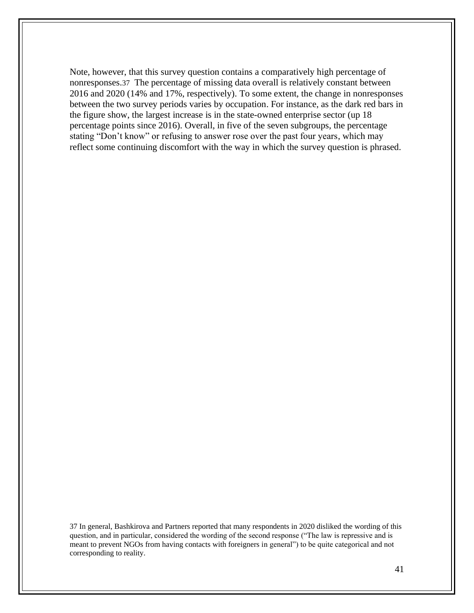Note, however, that this survey question contains a comparatively high percentage of nonresponses.37 The percentage of missing data overall is relatively constant between 2016 and 2020 (14% and 17%, respectively). To some extent, the change in nonresponses between the two survey periods varies by occupation. For instance, as the dark red bars in the figure show, the largest increase is in the state-owned enterprise sector (up 18 percentage points since 2016). Overall, in five of the seven subgroups, the percentage stating "Don't know" or refusing to answer rose over the past four years, which may reflect some continuing discomfort with the way in which the survey question is phrased.

37 In general, Bashkirova and Partners reported that many respondents in 2020 disliked the wording of this question, and in particular, considered the wording of the second response ("The law is repressive and is meant to prevent NGOs from having contacts with foreigners in general") to be quite categorical and not corresponding to reality.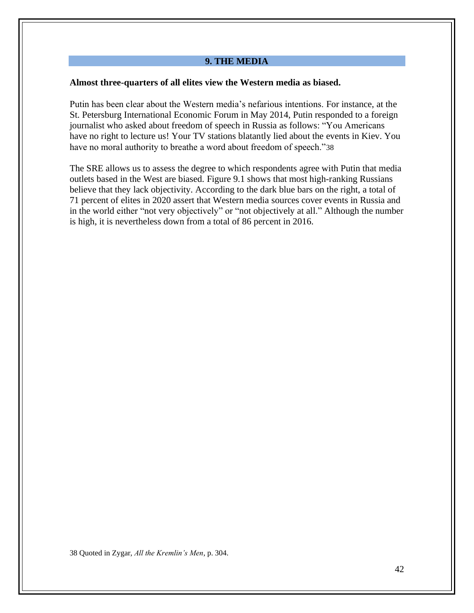#### **9. THE MEDIA**

#### **Almost three-quarters of all elites view the Western media as biased.**

Putin has been clear about the Western media's nefarious intentions. For instance, at the St. Petersburg International Economic Forum in May 2014, Putin responded to a foreign journalist who asked about freedom of speech in Russia as follows: "You Americans have no right to lecture us! Your TV stations blatantly lied about the events in Kiev. You have no moral authority to breathe a word about freedom of speech."38

The SRE allows us to assess the degree to which respondents agree with Putin that media outlets based in the West are biased. Figure 9.1 shows that most high-ranking Russians believe that they lack objectivity. According to the dark blue bars on the right, a total of 71 percent of elites in 2020 assert that Western media sources cover events in Russia and in the world either "not very objectively" or "not objectively at all." Although the number is high, it is nevertheless down from a total of 86 percent in 2016.

38 Quoted in Zygar, *All the Kremlin's Men*, p. 304.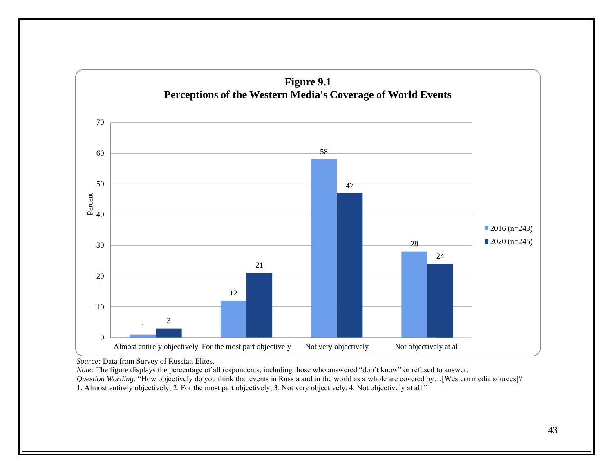

*Source:* Data from Survey of Russian Elites.

*Note:* The figure displays the percentage of all respondents, including those who answered "don't know" or refused to answer. *Question Wording*: "How objectively do you think that events in Russia and in the world as a whole are covered by...[Western media sources]?

1. Almost entirely objectively, 2. For the most part objectively, 3. Not very objectively, 4. Not objectively at all."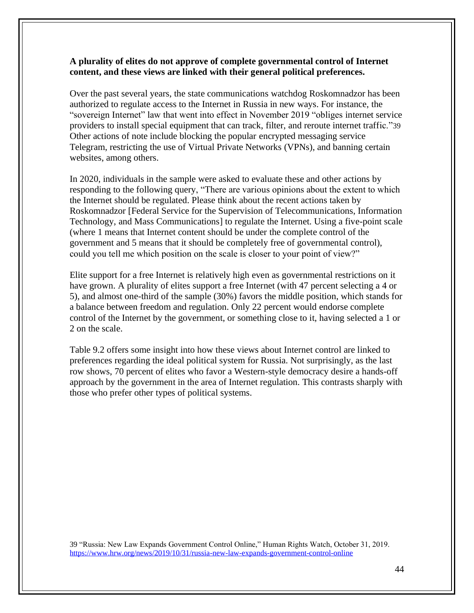# **A plurality of elites do not approve of complete governmental control of Internet content, and these views are linked with their general political preferences.**

Over the past several years, the state communications watchdog Roskomnadzor has been authorized to regulate access to the Internet in Russia in new ways. For instance, the "sovereign Internet" law that went into effect in November 2019 "obliges internet service providers to install special equipment that can track, filter, and reroute internet traffic."39 Other actions of note include blocking the popular encrypted messaging service Telegram, restricting the use of Virtual Private Networks (VPNs), and banning certain websites, among others.

In 2020, individuals in the sample were asked to evaluate these and other actions by responding to the following query, "There are various opinions about the extent to which the Internet should be regulated. Please think about the recent actions taken by Roskomnadzor [Federal Service for the Supervision of Telecommunications, Information Technology, and Mass Communications] to regulate the Internet. Using a five-point scale (where 1 means that Internet content should be under the complete control of the government and 5 means that it should be completely free of governmental control), could you tell me which position on the scale is closer to your point of view?"

Elite support for a free Internet is relatively high even as governmental restrictions on it have grown. A plurality of elites support a free Internet (with 47 percent selecting a 4 or 5), and almost one-third of the sample (30%) favors the middle position, which stands for a balance between freedom and regulation. Only 22 percent would endorse complete control of the Internet by the government, or something close to it, having selected a 1 or 2 on the scale.

Table 9.2 offers some insight into how these views about Internet control are linked to preferences regarding the ideal political system for Russia. Not surprisingly, as the last row shows, 70 percent of elites who favor a Western-style democracy desire a hands-off approach by the government in the area of Internet regulation. This contrasts sharply with those who prefer other types of political systems.

39 "Russia: New Law Expands Government Control Online," Human Rights Watch, October 31, 2019. <https://www.hrw.org/news/2019/10/31/russia-new-law-expands-government-control-online>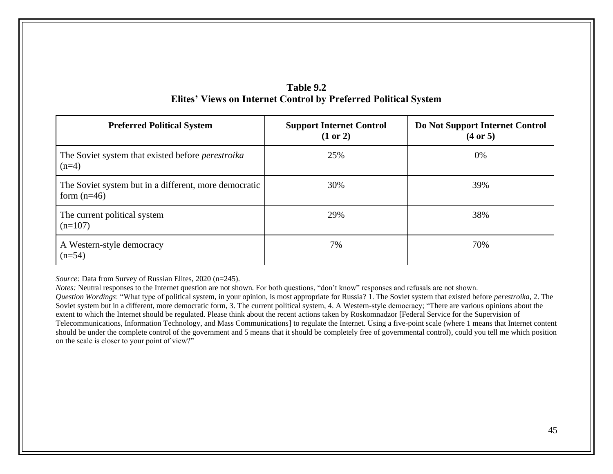| Table 9.2                                                              |  |
|------------------------------------------------------------------------|--|
| <b>Elites' Views on Internet Control by Preferred Political System</b> |  |

| <b>Preferred Political System</b>                                      | <b>Support Internet Control</b><br>(1 or 2) | Do Not Support Internet Control<br>$(4 \text{ or } 5)$ |
|------------------------------------------------------------------------|---------------------------------------------|--------------------------------------------------------|
| The Soviet system that existed before <i>perestroika</i><br>$(n=4)$    | 25%                                         | $0\%$                                                  |
| The Soviet system but in a different, more democratic<br>form $(n=46)$ | 30%                                         | 39%                                                    |
| The current political system<br>$(n=107)$                              | 29%                                         | 38%                                                    |
| A Western-style democracy<br>$(n=54)$                                  | 7%                                          | 70%                                                    |

*Source:* Data from Survey of Russian Elites, 2020 (n=245).

*Notes:* Neutral responses to the Internet question are not shown. For both questions, "don't know" responses and refusals are not shown.

*Question Wordings*: "What type of political system, in your opinion, is most appropriate for Russia? 1. The Soviet system that existed before *perestroika,* 2. The Soviet system but in a different, more democratic form, 3. The current political system, 4. A Western-style democracy; "There are various opinions about the extent to which the Internet should be regulated. Please think about the recent actions taken by Roskomnadzor [Federal Service for the Supervision of Telecommunications, Information Technology, and Mass Communications] to regulate the Internet. Using a five-point scale (where 1 means that Internet content should be under the complete control of the government and 5 means that it should be completely free of governmental control), could you tell me which position on the scale is closer to your point of view?"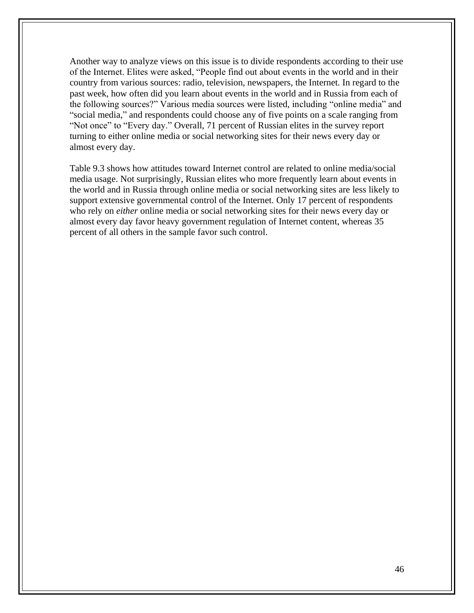Another way to analyze views on this issue is to divide respondents according to their use of the Internet. Elites were asked, "People find out about events in the world and in their country from various sources: radio, television, newspapers, the Internet. In regard to the past week, how often did you learn about events in the world and in Russia from each of the following sources?" Various media sources were listed, including "online media" and "social media," and respondents could choose any of five points on a scale ranging from "Not once" to "Every day." Overall, 71 percent of Russian elites in the survey report turning to either online media or social networking sites for their news every day or almost every day.

Table 9.3 shows how attitudes toward Internet control are related to online media/social media usage. Not surprisingly, Russian elites who more frequently learn about events in the world and in Russia through online media or social networking sites are less likely to support extensive governmental control of the Internet. Only 17 percent of respondents who rely on *either* online media or social networking sites for their news every day or almost every day favor heavy government regulation of Internet content, whereas 35 percent of all others in the sample favor such control.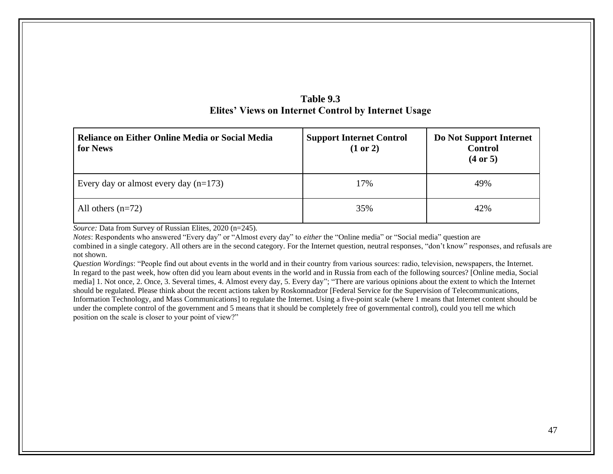| Reliance on Either Online Media or Social Media<br>for News | <b>Support Internet Control</b><br>(1 or 2) | Do Not Support Internet<br><b>Control</b><br>(4 or 5) |
|-------------------------------------------------------------|---------------------------------------------|-------------------------------------------------------|
| Every day or almost every day $(n=173)$                     | 17%                                         | 49%                                                   |
| All others $(n=72)$                                         | 35%                                         | 42%                                                   |

# **Table 9.3 Elites' Views on Internet Control by Internet Usage**

*Source:* Data from Survey of Russian Elites, 2020 (n=245).

*Notes*: Respondents who answered "Every day" or "Almost every day" to *either* the "Online media" or "Social media" question are combined in a single category. All others are in the second category. For the Internet question, neutral responses, "don't know" responses, and refusals are not shown.

*Question Wordings*: "People find out about events in the world and in their country from various sources: radio, television, newspapers, the Internet. In regard to the past week, how often did you learn about events in the world and in Russia from each of the following sources? [Online media, Social media] 1. Not once, 2. Once, 3. Several times, 4. Almost every day, 5. Every day"; "There are various opinions about the extent to which the Internet should be regulated. Please think about the recent actions taken by Roskomnadzor [Federal Service for the Supervision of Telecommunications, Information Technology, and Mass Communications] to regulate the Internet. Using a five-point scale (where 1 means that Internet content should be under the complete control of the government and 5 means that it should be completely free of governmental control), could you tell me which position on the scale is closer to your point of view?"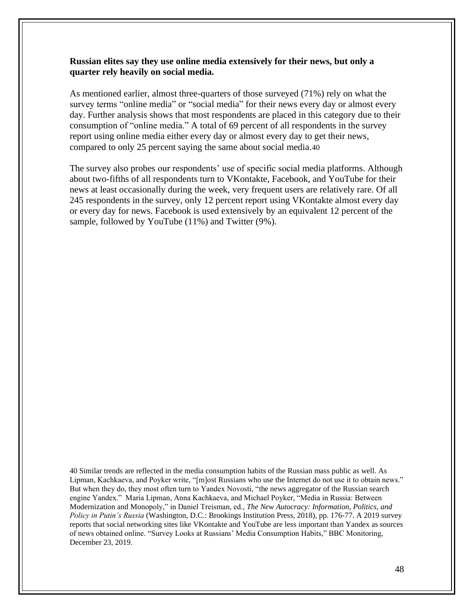#### **Russian elites say they use online media extensively for their news, but only a quarter rely heavily on social media.**

As mentioned earlier, almost three-quarters of those surveyed (71%) rely on what the survey terms "online media" or "social media" for their news every day or almost every day. Further analysis shows that most respondents are placed in this category due to their consumption of "online media." A total of 69 percent of all respondents in the survey report using online media either every day or almost every day to get their news, compared to only 25 percent saying the same about social media.40

The survey also probes our respondents' use of specific social media platforms. Although about two-fifths of all respondents turn to VKontakte, Facebook, and YouTube for their news at least occasionally during the week, very frequent users are relatively rare. Of all 245 respondents in the survey, only 12 percent report using VKontakte almost every day or every day for news. Facebook is used extensively by an equivalent 12 percent of the sample, followed by YouTube (11%) and Twitter (9%).

40 Similar trends are reflected in the media consumption habits of the Russian mass public as well. As Lipman, Kachkaeva, and Poyker write, "[m]ost Russians who use the Internet do not use it to obtain news." But when they do, they most often turn to Yandex Novosti, "the news aggregator of the Russian search engine Yandex." Maria Lipman, Anna Kachkaeva, and Michael Poyker, "Media in Russia: Between Modernization and Monopoly," in Daniel Treisman, ed., *The New Autocracy: Information, Politics, and Policy in Putin's Russia* (Washington, D.C.: Brookings Institution Press, 2018), pp. 176-77. A 2019 survey reports that social networking sites like VKontakte and YouTube are less important than Yandex as sources of news obtained online. "Survey Looks at Russians' Media Consumption Habits," BBC Monitoring, December 23, 2019.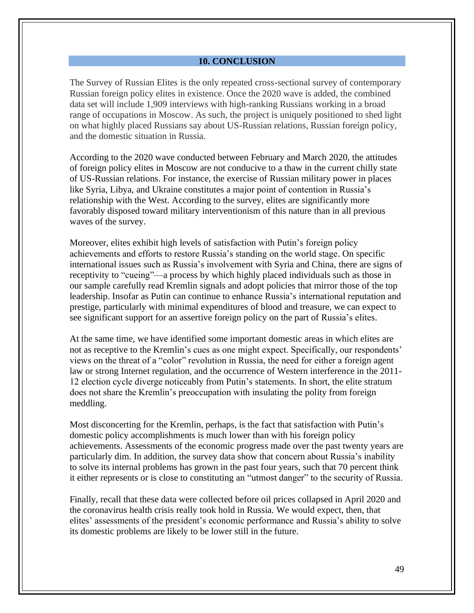#### **10. CONCLUSION**

The Survey of Russian Elites is the only repeated cross-sectional survey of contemporary Russian foreign policy elites in existence. Once the 2020 wave is added, the combined data set will include 1,909 interviews with high-ranking Russians working in a broad range of occupations in Moscow. As such, the project is uniquely positioned to shed light on what highly placed Russians say about US-Russian relations, Russian foreign policy, and the domestic situation in Russia.

According to the 2020 wave conducted between February and March 2020, the attitudes of foreign policy elites in Moscow are not conducive to a thaw in the current chilly state of US-Russian relations. For instance, the exercise of Russian military power in places like Syria, Libya, and Ukraine constitutes a major point of contention in Russia's relationship with the West. According to the survey, elites are significantly more favorably disposed toward military interventionism of this nature than in all previous waves of the survey.

Moreover, elites exhibit high levels of satisfaction with Putin's foreign policy achievements and efforts to restore Russia's standing on the world stage. On specific international issues such as Russia's involvement with Syria and China, there are signs of receptivity to "cueing"—a process by which highly placed individuals such as those in our sample carefully read Kremlin signals and adopt policies that mirror those of the top leadership. Insofar as Putin can continue to enhance Russia's international reputation and prestige, particularly with minimal expenditures of blood and treasure, we can expect to see significant support for an assertive foreign policy on the part of Russia's elites.

At the same time, we have identified some important domestic areas in which elites are not as receptive to the Kremlin's cues as one might expect. Specifically, our respondents' views on the threat of a "color" revolution in Russia, the need for either a foreign agent law or strong Internet regulation, and the occurrence of Western interference in the 2011- 12 election cycle diverge noticeably from Putin's statements. In short, the elite stratum does not share the Kremlin's preoccupation with insulating the polity from foreign meddling.

Most disconcerting for the Kremlin, perhaps, is the fact that satisfaction with Putin's domestic policy accomplishments is much lower than with his foreign policy achievements. Assessments of the economic progress made over the past twenty years are particularly dim. In addition, the survey data show that concern about Russia's inability to solve its internal problems has grown in the past four years, such that 70 percent think it either represents or is close to constituting an "utmost danger" to the security of Russia.

Finally, recall that these data were collected before oil prices collapsed in April 2020 and the coronavirus health crisis really took hold in Russia. We would expect, then, that elites' assessments of the president's economic performance and Russia's ability to solve its domestic problems are likely to be lower still in the future.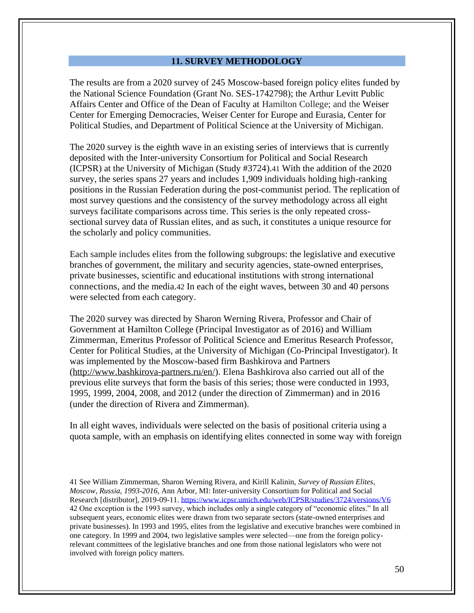#### **11. SURVEY METHODOLOGY**

The results are from a 2020 survey of 245 Moscow-based foreign policy elites funded by the National Science Foundation (Grant No. SES-1742798); the Arthur Levitt Public Affairs Center and Office of the Dean of Faculty at Hamilton College; and the Weiser Center for Emerging Democracies, Weiser Center for Europe and Eurasia, Center for Political Studies, and Department of Political Science at the University of Michigan.

The 2020 survey is the eighth wave in an existing series of interviews that is currently deposited with the Inter-university Consortium for Political and Social Research (ICPSR) at the University of Michigan (Study #3724).41 With the addition of the 2020 survey, the series spans 27 years and includes 1,909 individuals holding high-ranking positions in the Russian Federation during the post-communist period. The replication of most survey questions and the consistency of the survey methodology across all eight surveys facilitate comparisons across time. This series is the only repeated crosssectional survey data of Russian elites, and as such, it constitutes a unique resource for the scholarly and policy communities.

Each sample includes elites from the following subgroups: the legislative and executive branches of government, the military and security agencies, state-owned enterprises, private businesses, scientific and educational institutions with strong international connections, and the media.42 In each of the eight waves, between 30 and 40 persons were selected from each category.

The 2020 survey was directed by Sharon Werning Rivera, Professor and Chair of Government at Hamilton College (Principal Investigator as of 2016) and William Zimmerman, Emeritus Professor of Political Science and Emeritus Research Professor, Center for Political Studies, at the University of Michigan (Co-Principal Investigator). It was implemented by the Moscow-based firm Bashkirova and Partners [\(http://www.bashkirova-partners.ru/en/\)](http://www.bashkirova-partners.ru/en/). Elena Bashkirova also carried out all of the previous elite surveys that form the basis of this series; those were conducted in 1993, 1995, 1999, 2004, 2008, and 2012 (under the direction of Zimmerman) and in 2016 (under the direction of Rivera and Zimmerman).

In all eight waves, individuals were selected on the basis of positional criteria using a quota sample, with an emphasis on identifying elites connected in some way with foreign

41 See William Zimmerman, Sharon Werning Rivera, and Kirill Kalinin, *Survey of Russian Elites, Moscow, Russia, 1993-2016*, Ann Arbor, MI: Inter-university Consortium for Political and Social Research [distributor], 2019-09-11.<https://www.icpsr.umich.edu/web/ICPSR/studies/3724/versions/V6> 42 One exception is the 1993 survey, which includes only a single category of "economic elites." In all subsequent years, economic elites were drawn from two separate sectors (state-owned enterprises and private businesses). In 1993 and 1995, elites from the legislative and executive branches were combined in one category. In 1999 and 2004, two legislative samples were selected—one from the foreign policyrelevant committees of the legislative branches and one from those national legislators who were not involved with foreign policy matters.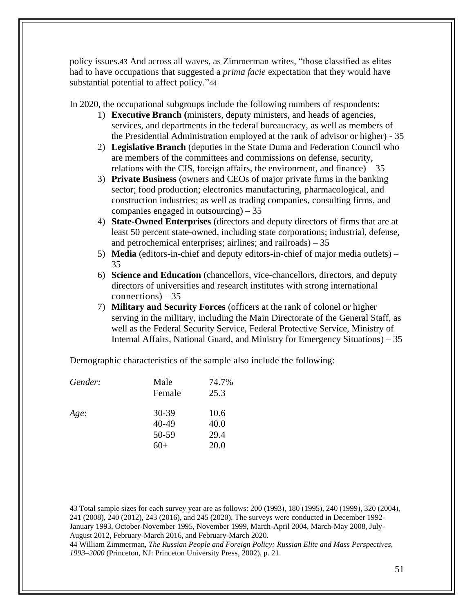policy issues.43 And across all waves, as Zimmerman writes, "those classified as elites had to have occupations that suggested a *prima facie* expectation that they would have substantial potential to affect policy."44

In 2020, the occupational subgroups include the following numbers of respondents:

- 1) **Executive Branch (**ministers, deputy ministers, and heads of agencies, services, and departments in the federal bureaucracy, as well as members of the Presidential Administration employed at the rank of advisor or higher) - 35
- 2) **Legislative Branch** (deputies in the State Duma and Federation Council who are members of the committees and commissions on defense, security, relations with the CIS, foreign affairs, the environment, and finance)  $-35$
- 3) **Private Business** (owners and CEOs of major private firms in the banking sector; food production; electronics manufacturing, pharmacological, and construction industries; as well as trading companies, consulting firms, and companies engaged in outsourcing) – 35
- 4) **State-Owned Enterprises** (directors and deputy directors of firms that are at least 50 percent state-owned, including state corporations; industrial, defense, and petrochemical enterprises; airlines; and railroads)  $-35$
- 5) **Media** (editors-in-chief and deputy editors-in-chief of major media outlets) 35
- 6) **Science and Education** (chancellors, vice-chancellors, directors, and deputy directors of universities and research institutes with strong international connections) – 35
- 7) **Military and Security Forces** (officers at the rank of colonel or higher serving in the military, including the Main Directorate of the General Staff, as well as the Federal Security Service, Federal Protective Service, Ministry of Internal Affairs, National Guard, and Ministry for Emergency Situations) – 35

Demographic characteristics of the sample also include the following:

| Male<br>Female | 74.7%<br>25.3 |
|----------------|---------------|
| $30 - 39$      | 10.6          |
| $40 - 49$      | 40.0          |
| 50-59          | 29.4          |
| 60+            | 20.0          |
|                |               |

43 Total sample sizes for each survey year are as follows: 200 (1993), 180 (1995), 240 (1999), 320 (2004), 241 (2008), 240 (2012), 243 (2016), and 245 (2020). The surveys were conducted in December 1992- January 1993, October-November 1995, November 1999, March-April 2004, March-May 2008, July-August 2012, February-March 2016, and February-March 2020. 44 William Zimmerman, *The Russian People and Foreign Policy: Russian Elite and Mass Perspectives, 1993–2000* (Princeton, NJ: Princeton University Press, 2002), p. 21.